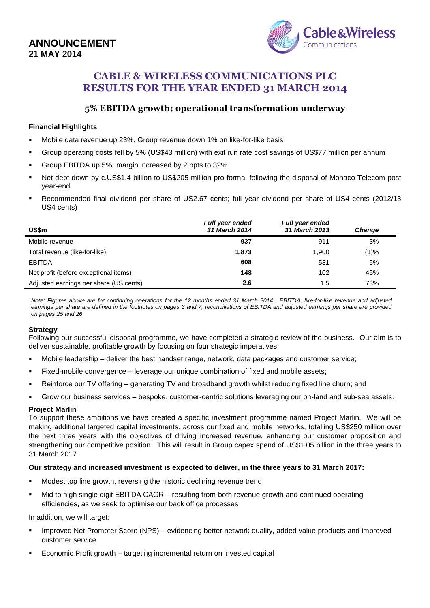# **ANNOUNCEMENT 21 MAY 2014**



# **CABLE & WIRELESS COMMUNICATIONS PLC RESULTS FOR THE YEAR ENDED 31 MARCH 2014**

## **5% EBITDA growth; operational transformation underway**

#### **Financial Highlights**

- Mobile data revenue up 23%, Group revenue down 1% on like-for-like basis
- Group operating costs fell by 5% (US\$43 million) with exit run rate cost savings of US\$77 million per annum
- Group EBITDA up 5%; margin increased by 2 ppts to 32%
- Net debt down by c.US\$1.4 billion to US\$205 million pro-forma, following the disposal of Monaco Telecom post year-end
- Recommended final dividend per share of US2.67 cents; full year dividend per share of US4 cents (2012/13 US4 cents)

| <b>US\$m</b>                           | <b>Full year ended</b><br>31 March 2014 | <b>Full year ended</b><br>31 March 2013 | <b>Change</b> |
|----------------------------------------|-----------------------------------------|-----------------------------------------|---------------|
| Mobile revenue                         | 937                                     | 911                                     | 3%            |
| Total revenue (like-for-like)          | 1,873                                   | 1.900                                   | (1)%          |
| <b>EBITDA</b>                          | 608                                     | 581                                     | 5%            |
| Net profit (before exceptional items)  | 148                                     | 102                                     | 45%           |
| Adjusted earnings per share (US cents) | 2.6                                     | 1.5                                     | 73%           |

*Note: Figures above are for continuing operations for the 12 months ended 31 March 2014. EBITDA, like-for-like revenue and adjusted earnings per share are defined in the footnotes on pages 3 and 7, reconciliations of EBITDA and adjusted earnings per share are provided on pages 25 and 26*

#### **Strategy**

Following our successful disposal programme, we have completed a strategic review of the business. Our aim is to deliver sustainable, profitable growth by focusing on four strategic imperatives:

- Mobile leadership deliver the best handset range, network, data packages and customer service;
- Fixed-mobile convergence leverage our unique combination of fixed and mobile assets;
- Reinforce our TV offering generating TV and broadband growth whilst reducing fixed line churn; and
- Grow our business services bespoke, customer-centric solutions leveraging our on-land and sub-sea assets.

#### **Project Marlin**

To support these ambitions we have created a specific investment programme named Project Marlin. We will be making additional targeted capital investments, across our fixed and mobile networks, totalling US\$250 million over the next three years with the objectives of driving increased revenue, enhancing our customer proposition and strengthening our competitive position. This will result in Group capex spend of US\$1.05 billion in the three years to 31 March 2017.

#### **Our strategy and increased investment is expected to deliver, in the three years to 31 March 2017:**

- Modest top line growth, reversing the historic declining revenue trend
- Mid to high single digit EBITDA CAGR resulting from both revenue growth and continued operating efficiencies, as we seek to optimise our back office processes

#### In addition, we will target:

- Improved Net Promoter Score (NPS) evidencing better network quality, added value products and improved customer service
- Economic Profit growth targeting incremental return on invested capital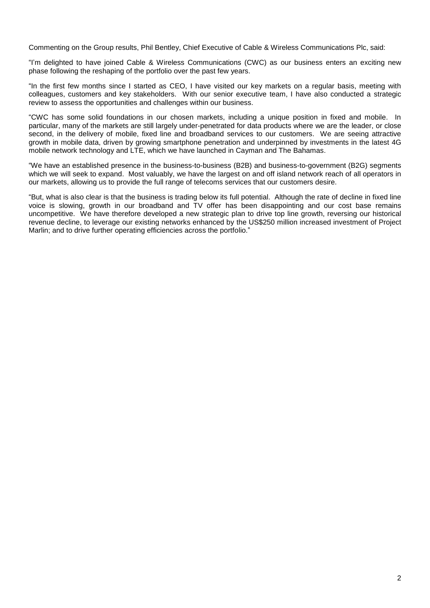Commenting on the Group results, Phil Bentley, Chief Executive of Cable & Wireless Communications Plc, said:

"I'm delighted to have joined Cable & Wireless Communications (CWC) as our business enters an exciting new phase following the reshaping of the portfolio over the past few years.

"In the first few months since I started as CEO, I have visited our key markets on a regular basis, meeting with colleagues, customers and key stakeholders. With our senior executive team, I have also conducted a strategic review to assess the opportunities and challenges within our business.

"CWC has some solid foundations in our chosen markets, including a unique position in fixed and mobile. In particular, many of the markets are still largely under-penetrated for data products where we are the leader, or close second, in the delivery of mobile, fixed line and broadband services to our customers. We are seeing attractive growth in mobile data, driven by growing smartphone penetration and underpinned by investments in the latest 4G mobile network technology and LTE, which we have launched in Cayman and The Bahamas.

"We have an established presence in the business-to-business (B2B) and business-to-government (B2G) segments which we will seek to expand. Most valuably, we have the largest on and off island network reach of all operators in our markets, allowing us to provide the full range of telecoms services that our customers desire.

"But, what is also clear is that the business is trading below its full potential. Although the rate of decline in fixed line voice is slowing, growth in our broadband and TV offer has been disappointing and our cost base remains uncompetitive. We have therefore developed a new strategic plan to drive top line growth, reversing our historical revenue decline, to leverage our existing networks enhanced by the US\$250 million increased investment of Project Marlin; and to drive further operating efficiencies across the portfolio."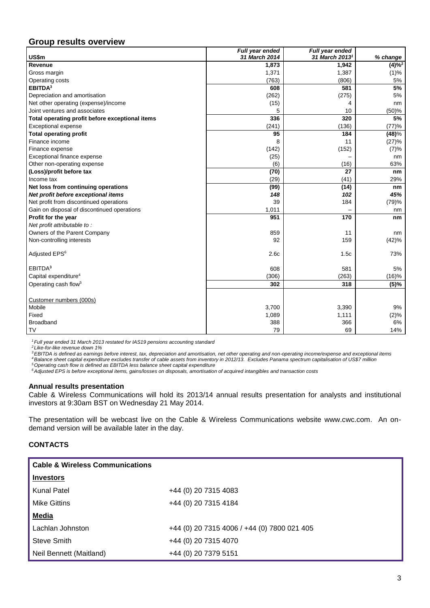## **Group results overview**

|                                                 | Full year ended | Full year ended            |                        |
|-------------------------------------------------|-----------------|----------------------------|------------------------|
| US\$m                                           | 31 March 2014   | 31 March 2013 <sup>1</sup> | % change               |
| Revenue                                         | 1,873           | 1,942                      | $(4)\overline{\%^{2}}$ |
| Gross margin                                    | 1,371           | 1,387                      | (1)%                   |
| Operating costs                                 | (763)           | (806)                      | 5%                     |
| EBITDA <sup>3</sup>                             | 608             | 581                        | 5%                     |
| Depreciation and amortisation                   | (262)           | (275)                      | 5%                     |
| Net other operating (expense)/income            | (15)            | 4                          | nm                     |
| Joint ventures and associates                   | 5               | 10                         | (50)%                  |
| Total operating profit before exceptional items | 336             | 320                        | 5%                     |
| <b>Exceptional expense</b>                      | (241)           | (136)                      | (77)%                  |
| <b>Total operating profit</b>                   | 95              | 184                        | (48)%                  |
| Finance income                                  | 8               | 11                         | (27)%                  |
| Finance expense                                 | (142)           | (152)                      | (7)%                   |
| Exceptional finance expense                     | (25)            |                            | nm                     |
| Other non-operating expense                     | (6)             | (16)                       | 63%                    |
| (Loss)/profit before tax                        | (70)            | 27                         | nm                     |
| Income tax                                      | (29)            | (41)                       | 29%                    |
| Net loss from continuing operations             | (99)            | (14)                       | nm                     |
| Net profit before exceptional items             | 148             | 102                        | 45%                    |
| Net profit from discontinued operations         | 39              | 184                        | (79)%                  |
| Gain on disposal of discontinued operations     | 1,011           |                            | nm                     |
| Profit for the year                             | 951             | 170                        | nm                     |
| Net profit attributable to:                     |                 |                            |                        |
| Owners of the Parent Company                    | 859             | 11                         | nm                     |
| Non-controlling interests                       | 92              | 159                        | (42)%                  |
|                                                 |                 |                            |                        |
| Adjusted EPS <sup>6</sup>                       | 2.6c            | 1.5c                       | 73%                    |
|                                                 |                 |                            |                        |
| EBITDA <sup>3</sup>                             | 608             | 581                        | 5%                     |
| Capital expenditure <sup>4</sup>                | (306)           | (263)                      | (16)%                  |
| Operating cash flow <sup>5</sup>                | 302             | 318                        | (5)%                   |
|                                                 |                 |                            |                        |
| Customer numbers (000s)                         |                 |                            |                        |
| Mobile                                          | 3,700           | 3,390                      | 9%                     |
| Fixed                                           | 1,089           | 1,111                      | (2)%                   |
| <b>Broadband</b>                                | 388             | 366                        | 6%                     |
| <b>TV</b>                                       | 79              | 69                         | 14%                    |

*<sup>1</sup>Full year ended 31 March 2013 restated for IAS19 pensions accounting standard*

*<sup>2</sup> Like-for-like revenue down 1%*

*<sup>3</sup>EBITDA is defined as earnings before interest, tax, depreciation and amortisation, net other operating and non-operating income/expense and exceptional items <sup>4</sup>Balance sheet capital expenditure excludes transfer of cable assets from inventory in 2012/13. Excludes Panama spectrum capitalisation of US\$7 million*

*<sup>5</sup>Operating cash flow is defined as EBITDA less balance sheet capital expenditure*

*<sup>6</sup>Adjusted EPS is before exceptional items, gains/losses on disposals, amortisation of acquired intangibles and transaction costs*

#### **Annual results presentation**

Cable & Wireless Communications will hold its 2013/14 annual results presentation for analysts and institutional investors at 9:30am BST on Wednesday 21 May 2014.

The presentation will be webcast live on the Cable & Wireless Communications website www.cwc.com. An ondemand version will be available later in the day.

#### **CONTACTS**

| <b>Cable &amp; Wireless Communications</b> |                                             |
|--------------------------------------------|---------------------------------------------|
| <b>Investors</b>                           |                                             |
| <b>Kunal Patel</b>                         | +44 (0) 20 7315 4083                        |
| <b>Mike Gittins</b>                        | +44 (0) 20 7315 4184                        |
| <b>Media</b>                               |                                             |
| Lachlan Johnston                           | +44 (0) 20 7315 4006 / +44 (0) 7800 021 405 |
| Steve Smith                                | +44 (0) 20 7315 4070                        |
| Neil Bennett (Maitland)                    | +44 (0) 20 7379 5151                        |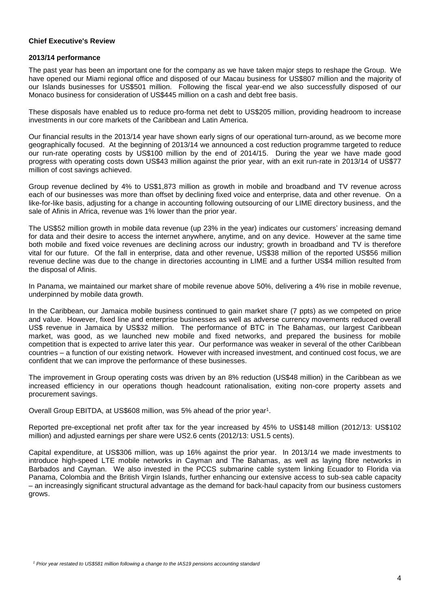#### **Chief Executive's Review**

#### **2013/14 performance**

The past year has been an important one for the company as we have taken major steps to reshape the Group. We have opened our Miami regional office and disposed of our Macau business for US\$807 million and the majority of our Islands businesses for US\$501 million. Following the fiscal year-end we also successfully disposed of our Monaco business for consideration of US\$445 million on a cash and debt free basis.

These disposals have enabled us to reduce pro-forma net debt to US\$205 million, providing headroom to increase investments in our core markets of the Caribbean and Latin America.

Our financial results in the 2013/14 year have shown early signs of our operational turn-around, as we become more geographically focused. At the beginning of 2013/14 we announced a cost reduction programme targeted to reduce our run-rate operating costs by US\$100 million by the end of 2014/15. During the year we have made good progress with operating costs down US\$43 million against the prior year, with an exit run-rate in 2013/14 of US\$77 million of cost savings achieved.

Group revenue declined by 4% to US\$1,873 million as growth in mobile and broadband and TV revenue across each of our businesses was more than offset by declining fixed voice and enterprise, data and other revenue. On a like-for-like basis, adjusting for a change in accounting following outsourcing of our LIME directory business, and the sale of Afinis in Africa, revenue was 1% lower than the prior year.

The US\$52 million growth in mobile data revenue (up 23% in the year) indicates our customers' increasing demand for data and their desire to access the internet anywhere, anytime, and on any device. However at the same time both mobile and fixed voice revenues are declining across our industry; growth in broadband and TV is therefore vital for our future. Of the fall in enterprise, data and other revenue, US\$38 million of the reported US\$56 million revenue decline was due to the change in directories accounting in LIME and a further US\$4 million resulted from the disposal of Afinis.

In Panama, we maintained our market share of mobile revenue above 50%, delivering a 4% rise in mobile revenue, underpinned by mobile data growth.

In the Caribbean, our Jamaica mobile business continued to gain market share (7 ppts) as we competed on price and value. However, fixed line and enterprise businesses as well as adverse currency movements reduced overall US\$ revenue in Jamaica by US\$32 million. The performance of BTC in The Bahamas, our largest Caribbean market, was good, as we launched new mobile and fixed networks, and prepared the business for mobile competition that is expected to arrive later this year. Our performance was weaker in several of the other Caribbean countries – a function of our existing network. However with increased investment, and continued cost focus, we are confident that we can improve the performance of these businesses.

The improvement in Group operating costs was driven by an 8% reduction (US\$48 million) in the Caribbean as we increased efficiency in our operations though headcount rationalisation, exiting non-core property assets and procurement savings.

Overall Group EBITDA, at US\$608 million, was 5% ahead of the prior year<sup>1</sup>.

Reported pre-exceptional net profit after tax for the year increased by 45% to US\$148 million (2012/13: US\$102 million) and adjusted earnings per share were US2.6 cents (2012/13: US1.5 cents).

Capital expenditure, at US\$306 million, was up 16% against the prior year. In 2013/14 we made investments to introduce high-speed LTE mobile networks in Cayman and The Bahamas, as well as laying fibre networks in Barbados and Cayman. We also invested in the PCCS submarine cable system linking Ecuador to Florida via Panama, Colombia and the British Virgin Islands, further enhancing our extensive access to sub-sea cable capacity – an increasingly significant structural advantage as the demand for back-haul capacity from our business customers grows.

*<sup>1</sup> Prior year restated to US\$581 million following a change to the IAS19 pensions accounting standard*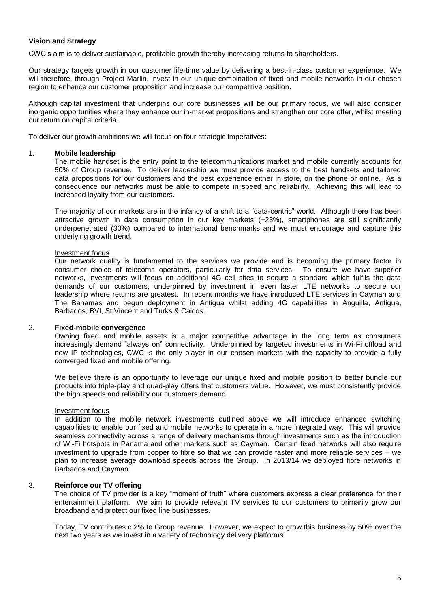#### **Vision and Strategy**

CWC's aim is to deliver sustainable, profitable growth thereby increasing returns to shareholders.

Our strategy targets growth in our customer life-time value by delivering a best-in-class customer experience. We will therefore, through Project Marlin, invest in our unique combination of fixed and mobile networks in our chosen region to enhance our customer proposition and increase our competitive position.

Although capital investment that underpins our core businesses will be our primary focus, we will also consider inorganic opportunities where they enhance our in-market propositions and strengthen our core offer, whilst meeting our return on capital criteria.

To deliver our growth ambitions we will focus on four strategic imperatives:

#### 1. **Mobile leadership**

The mobile handset is the entry point to the telecommunications market and mobile currently accounts for 50% of Group revenue. To deliver leadership we must provide access to the best handsets and tailored data propositions for our customers and the best experience either in store, on the phone or online. As a consequence our networks must be able to compete in speed and reliability. Achieving this will lead to increased loyalty from our customers.

The majority of our markets are in the infancy of a shift to a "data-centric" world. Although there has been attractive growth in data consumption in our key markets (+23%), smartphones are still significantly underpenetrated (30%) compared to international benchmarks and we must encourage and capture this underlying growth trend.

#### Investment focus

Our network quality is fundamental to the services we provide and is becoming the primary factor in consumer choice of telecoms operators, particularly for data services. To ensure we have superior networks, investments will focus on additional 4G cell sites to secure a standard which fulfils the data demands of our customers, underpinned by investment in even faster LTE networks to secure our leadership where returns are greatest. In recent months we have introduced LTE services in Cayman and The Bahamas and begun deployment in Antigua whilst adding 4G capabilities in Anguilla, Antigua, Barbados, BVI, St Vincent and Turks & Caicos.

#### 2. **Fixed-mobile convergence**

Owning fixed and mobile assets is a major competitive advantage in the long term as consumers increasingly demand "always on" connectivity. Underpinned by targeted investments in Wi-Fi offload and new IP technologies, CWC is the only player in our chosen markets with the capacity to provide a fully converged fixed and mobile offering.

We believe there is an opportunity to leverage our unique fixed and mobile position to better bundle our products into triple-play and quad-play offers that customers value. However, we must consistently provide the high speeds and reliability our customers demand.

#### Investment focus

In addition to the mobile network investments outlined above we will introduce enhanced switching capabilities to enable our fixed and mobile networks to operate in a more integrated way. This will provide seamless connectivity across a range of delivery mechanisms through investments such as the introduction of Wi-Fi hotspots in Panama and other markets such as Cayman. Certain fixed networks will also require investment to upgrade from copper to fibre so that we can provide faster and more reliable services – we plan to increase average download speeds across the Group. In 2013/14 we deployed fibre networks in Barbados and Cayman.

#### 3. **Reinforce our TV offering**

The choice of TV provider is a key "moment of truth" where customers express a clear preference for their entertainment platform. We aim to provide relevant TV services to our customers to primarily grow our broadband and protect our fixed line businesses.

Today, TV contributes c.2% to Group revenue. However, we expect to grow this business by 50% over the next two years as we invest in a variety of technology delivery platforms.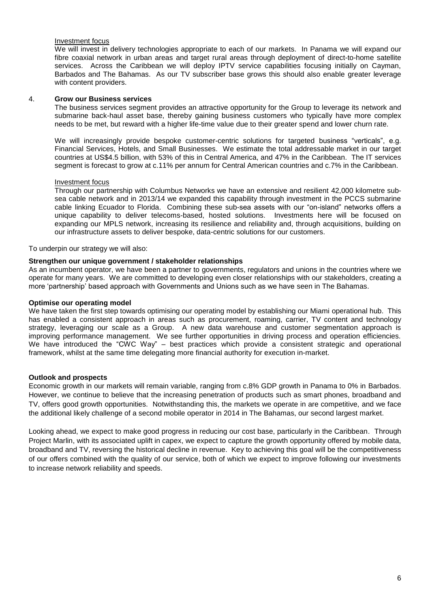#### Investment focus

We will invest in delivery technologies appropriate to each of our markets. In Panama we will expand our fibre coaxial network in urban areas and target rural areas through deployment of direct-to-home satellite services. Across the Caribbean we will deploy IPTV service capabilities focusing initially on Cayman, Barbados and The Bahamas. As our TV subscriber base grows this should also enable greater leverage with content providers.

#### 4. **Grow our Business services**

The business services segment provides an attractive opportunity for the Group to leverage its network and submarine back-haul asset base, thereby gaining business customers who typically have more complex needs to be met, but reward with a higher life-time value due to their greater spend and lower churn rate.

We will increasingly provide bespoke customer-centric solutions for targeted business "verticals", e.g. Financial Services, Hotels, and Small Businesses. We estimate the total addressable market in our target countries at US\$4.5 billion, with 53% of this in Central America, and 47% in the Caribbean. The IT services segment is forecast to grow at c.11% per annum for Central American countries and c.7% in the Caribbean.

#### Investment focus

Through our partnership with Columbus Networks we have an extensive and resilient 42,000 kilometre subsea cable network and in 2013/14 we expanded this capability through investment in the PCCS submarine cable linking Ecuador to Florida. Combining these sub-sea assets with our "on-island" networks offers a unique capability to deliver telecoms-based, hosted solutions. Investments here will be focused on expanding our MPLS network, increasing its resilience and reliability and, through acquisitions, building on our infrastructure assets to deliver bespoke, data-centric solutions for our customers.

To underpin our strategy we will also:

#### **Strengthen our unique government / stakeholder relationships**

As an incumbent operator, we have been a partner to governments, regulators and unions in the countries where we operate for many years. We are committed to developing even closer relationships with our stakeholders, creating a more 'partnership' based approach with Governments and Unions such as we have seen in The Bahamas.

#### **Optimise our operating model**

We have taken the first step towards optimising our operating model by establishing our Miami operational hub. This has enabled a consistent approach in areas such as procurement, roaming, carrier, TV content and technology strategy, leveraging our scale as a Group. A new data warehouse and customer segmentation approach is improving performance management. We see further opportunities in driving process and operation efficiencies. We have introduced the "CWC Way" – best practices which provide a consistent strategic and operational framework, whilst at the same time delegating more financial authority for execution in-market.

#### **Outlook and prospects**

Economic growth in our markets will remain variable, ranging from c.8% GDP growth in Panama to 0% in Barbados. However, we continue to believe that the increasing penetration of products such as smart phones, broadband and TV, offers good growth opportunities. Notwithstanding this, the markets we operate in are competitive, and we face the additional likely challenge of a second mobile operator in 2014 in The Bahamas, our second largest market.

Looking ahead, we expect to make good progress in reducing our cost base, particularly in the Caribbean. Through Project Marlin, with its associated uplift in capex, we expect to capture the growth opportunity offered by mobile data, broadband and TV, reversing the historical decline in revenue. Key to achieving this goal will be the competitiveness of our offers combined with the quality of our service, both of which we expect to improve following our investments to increase network reliability and speeds.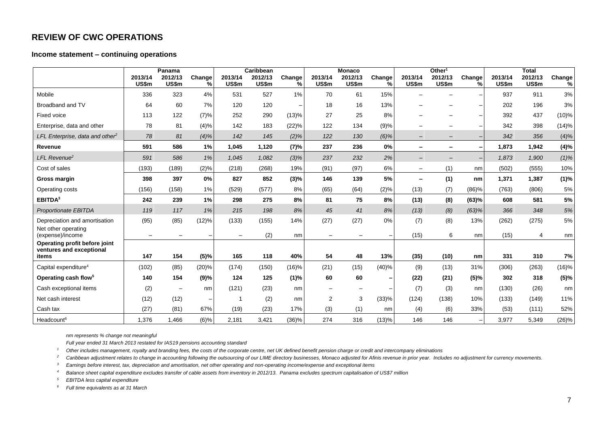## **REVIEW OF CWC OPERATIONS**

#### **Income statement – continuing operations**

|                                             |                  | Panama                   |             |                  | Caribbean        |             |                          | <b>Monaco</b>    |             |                          | Other <sup>1</sup>       |             |                  | <b>Total</b>     |             |
|---------------------------------------------|------------------|--------------------------|-------------|------------------|------------------|-------------|--------------------------|------------------|-------------|--------------------------|--------------------------|-------------|------------------|------------------|-------------|
|                                             | 2013/14<br>US\$m | 2012/13<br>US\$m         | Change<br>% | 2013/14<br>US\$m | 2012/13<br>US\$m | Change<br>% | 2013/14<br>US\$m         | 2012/13<br>US\$m | Change<br>% | 2013/14<br>US\$m         | 2012/13<br>US\$m         | Change<br>℅ | 2013/14<br>US\$m | 2012/13<br>US\$m | Change<br>% |
| Mobile                                      | 336              | 323                      | 4%          | 531              | 527              | 1%          | 70                       | 61               | 15%         |                          |                          |             | 937              | 911              | $3%$        |
| Broadband and TV                            | 64               | 60                       | 7%          | 120              | 120              |             | 18                       | 16               | 13%         |                          |                          |             | 202              | 196              | 3%          |
| Fixed voice                                 | 113              | 122                      | (7)%        | 252              | 290              | (13)%       | 27                       | 25               | 8%          |                          |                          |             | 392              | 437              | (10)%       |
| Enterprise, data and other                  | 78               | 81                       | (4)%        | 142              | 183              | (22)%       | 122                      | 134              | (9)%        | $\overline{\phantom{0}}$ |                          |             | 342              | 398              | (14)%       |
| LFL Enterprise, data and other <sup>2</sup> | 78               | 81                       | (4)%        | 142              | 145              | (2)%        | 122                      | 130              | $(6)\%$     | $\qquad \qquad -$        | $\qquad \qquad -$        |             | 342              | 356              | (4)%        |
| Revenue                                     | 591              | 586                      | 1%          | 1,045            | 1,120            | (7)%        | 237                      | 236              | 0%          | -                        | $\overline{\phantom{a}}$ |             | 1.873            | 1,942            | (4)%        |
| LFL Revenue <sup>2</sup>                    | 591              | 586                      | 1%          | 1.045            | 1,082            | $(3)\%$     | 237                      | 232              | 2%          | $\qquad \qquad -$        |                          |             | 1.873            | 1,900            | $(1)\%$     |
| Cost of sales                               | (193)            | (189)                    | (2)%        | (218)            | (268)            | 19%         | (91)                     | (97)             | 6%          | $\overline{\phantom{0}}$ | (1)                      | nm          | (502)            | (555)            | 10%         |
| Gross margin                                | 398              | 397                      | 0%          | 827              | 852              | (3)%        | 146                      | 139              | 5%          | -                        | (1)                      | nm          | 1,371            | 1,387            | (1)%        |
| Operating costs                             | (156)            | (158)                    | $1\%$       | (529)            | (577)            | 8%          | (65)                     | (64)             | (2)%        | (13)                     | (7)                      | (86)%       | (763)            | (806)            | 5%          |
| EBITDA <sup>3</sup>                         | 242              | 239                      | 1%          | 298              | 275              | 8%          | 81                       | 75               | 8%          | (13)                     | (8)                      | (63)%       | 608              | 581              | 5%          |
| Proportionate EBITDA                        | 119              | 117                      | 1%          | 215              | 198              | 8%          | 45                       | 41               | 8%          | (13)                     | (8)                      | (63)%       | 366              | 348              | 5%          |
| Depreciation and amortisation               | (95)             | (85)                     | (12)%       | (133)            | (155)            | 14%         | (27)                     | (27)             | $0\%$       | (7)                      | (8)                      | 13%         | (262)            | (275)            | $5\%$       |
| Net other operating<br>(expense)/income     |                  |                          |             |                  | (2)              | nm          |                          |                  |             | (15)                     | 6                        | nm          | (15)             | 4                | nm          |
| Operating profit before joint               |                  |                          |             |                  |                  |             |                          |                  |             |                          |                          |             |                  |                  |             |
| ventures and exceptional<br>items           | 147              | 154                      | (5)%        | 165              | 118              | 40%         | 54                       | 48               | 13%         | (35)                     | (10)                     | nm          | 331              | 310              | 7%          |
| Capital expenditure <sup>4</sup>            | (102)            | (85)                     | (20)%       | (174)            | (150)            | (16)%       | (21)                     | (15)             | (40)%       | (9)                      | (13)                     | 31%         | (306)            | (263)            | (16)%       |
| Operating cash flow <sup>5</sup>            | 140              | 154                      | (9)%        | 124              | 125              | (1)%        | 60                       | 60               |             | (22)                     | (21)                     | (5)%        | 302              | 318              | (5)%        |
| Cash exceptional items                      | (2)              | $\overline{\phantom{m}}$ | nm          | (121)            | (23)             | nm          | $\overline{\phantom{0}}$ |                  |             | (7)                      | (3)                      | nm          | (130)            | (26)             | nm          |
| Net cash interest                           | (12)             | (12)                     |             |                  | (2)              | nm          | 2                        | 3                | (33)%       | (124)                    | (138)                    | 10%         | (133)            | (149)            | 11%         |
| Cash tax                                    | (27)             | (81)                     | 67%         | (19)             | (23)             | 17%         | (3)                      | (1)              | nm          | (4)                      | (6)                      | 33%         | (53)             | (111)            | 52%         |
| Headcount <sup>6</sup>                      | 1,376            | 1,466                    | $(6)\%$     | 2,181            | 3,421            | (36)%       | 274                      | 316              | (13)%       | 146                      | 146                      |             | 3,977            | 5,349            | (26)%       |

*nm represents % change not meaningful*

*Full year ended 31 March 2013 restated for IAS19 pensions accounting standard*

*<sup>1</sup> Other includes management, royalty and branding fees, the costs of the corporate centre, net UK defined benefit pension charge or credit and intercompany eliminations*

<sup>2</sup> Caribbean adjustment relates to change in accounting following the outsourcing of our LIME directory businesses, Monaco adjusted for Afinis revenue in prior year. Includes no adjustment for currency movements.

*<sup>3</sup> Earnings before interest, tax, depreciation and amortisation, net other operating and non-operating income/expense and exceptional items*

*<sup>4</sup> Balance sheet capital expenditure excludes transfer of cable assets from inventory in 2012/13. Panama excludes spectrum capitalisation of US\$7 million*

*<sup>5</sup> EBITDA less capital expenditure*

*<sup>6</sup> Full time equivalents as at 31 March*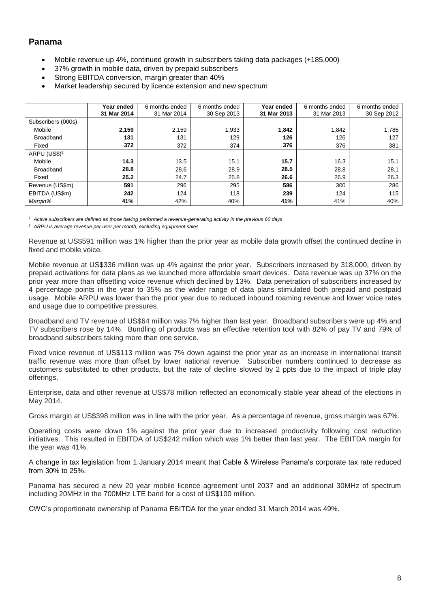### **Panama**

- Mobile revenue up 4%, continued growth in subscribers taking data packages (+185,000)
- 37% growth in mobile data, driven by prepaid subscribers
- Strong EBITDA conversion, margin greater than 40%
- Market leadership secured by licence extension and new spectrum

|                        | Year ended<br>31 Mar 2014 | 6 months ended<br>31 Mar 2014 | 6 months ended<br>30 Sep 2013 | Year ended<br>31 Mar 2013 | 6 months ended<br>31 Mar 2013 | 6 months ended<br>30 Sep 2012 |
|------------------------|---------------------------|-------------------------------|-------------------------------|---------------------------|-------------------------------|-------------------------------|
| Subscribers (000s)     |                           |                               |                               |                           |                               |                               |
| $M$ obile <sup>1</sup> | 2,159                     | 2,159                         | 1,933                         | 1.842                     | 1,842                         | 1,785                         |
| <b>Broadband</b>       | 131                       | 131                           | 129                           | 126                       | 126                           | 127                           |
| Fixed                  | 372                       | 372                           | 374                           | 376                       | 376                           | 381                           |
| ARPU (US\$) $2$        |                           |                               |                               |                           |                               |                               |
| Mobile                 | 14.3                      | 13.5                          | 15.1                          | 15.7                      | 16.3                          | 15.1                          |
| <b>Broadband</b>       | 28.8                      | 28.6                          | 28.9                          | 28.5                      | 28.8                          | 28.1                          |
| Fixed                  | 25.2                      | 24.7                          | 25.8                          | 26.6                      | 26.9                          | 26.3                          |
| Revenue (US\$m)        | 591                       | 296                           | 295                           | 586                       | 300                           | 286                           |
| EBITDA (US\$m)         | 242                       | 124                           | 118                           | 239                       | 124                           | 115                           |
| Margin%                | 41%                       | 42%                           | 40%                           | 41%                       | 41%                           | 40%                           |

*<sup>1</sup> Active subscribers are defined as those having performed a revenue-generating activity in the previous 60 days*

*<sup>2</sup> ARPU is average revenue per user per month, excluding equipment sales*

Revenue at US\$591 million was 1% higher than the prior year as mobile data growth offset the continued decline in fixed and mobile voice.

Mobile revenue at US\$336 million was up 4% against the prior year. Subscribers increased by 318,000, driven by prepaid activations for data plans as we launched more affordable smart devices. Data revenue was up 37% on the prior year more than offsetting voice revenue which declined by 13%. Data penetration of subscribers increased by 4 percentage points in the year to 35% as the wider range of data plans stimulated both prepaid and postpaid usage. Mobile ARPU was lower than the prior year due to reduced inbound roaming revenue and lower voice rates and usage due to competitive pressures.

Broadband and TV revenue of US\$64 million was 7% higher than last year. Broadband subscribers were up 4% and TV subscribers rose by 14%. Bundling of products was an effective retention tool with 82% of pay TV and 79% of broadband subscribers taking more than one service.

Fixed voice revenue of US\$113 million was 7% down against the prior year as an increase in international transit traffic revenue was more than offset by lower national revenue. Subscriber numbers continued to decrease as customers substituted to other products, but the rate of decline slowed by 2 ppts due to the impact of triple play offerings.

Enterprise, data and other revenue at US\$78 million reflected an economically stable year ahead of the elections in May 2014.

Gross margin at US\$398 million was in line with the prior year. As a percentage of revenue, gross margin was 67%.

Operating costs were down 1% against the prior year due to increased productivity following cost reduction initiatives. This resulted in EBITDA of US\$242 million which was 1% better than last year. The EBITDA margin for the year was 41%.

A change in tax legislation from 1 January 2014 meant that Cable & Wireless Panama's corporate tax rate reduced from 30% to 25%.

Panama has secured a new 20 year mobile licence agreement until 2037 and an additional 30MHz of spectrum including 20MHz in the 700MHz LTE band for a cost of US\$100 million.

CWC's proportionate ownership of Panama EBITDA for the year ended 31 March 2014 was 49%.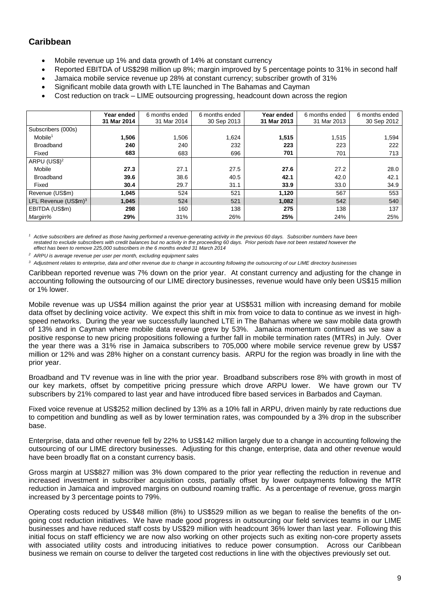## **Caribbean**

- Mobile revenue up 1% and data growth of 14% at constant currency
- Reported EBITDA of US\$298 million up 8%; margin improved by 5 percentage points to 31% in second half
- Jamaica mobile service revenue up 28% at constant currency; subscriber growth of 31%
- Significant mobile data growth with LTE launched in The Bahamas and Cayman
- Cost reduction on track LIME outsourcing progressing, headcount down across the region

|                          | Year ended  | 6 months ended | 6 months ended | Year ended  | 6 months ended | 6 months ended |
|--------------------------|-------------|----------------|----------------|-------------|----------------|----------------|
|                          | 31 Mar 2014 | 31 Mar 2014    | 30 Sep 2013    | 31 Mar 2013 | 31 Mar 2013    | 30 Sep 2012    |
| Subscribers (000s)       |             |                |                |             |                |                |
| $M$ obile <sup>1</sup>   | 1,506       | 1,506          | 1,624          | 1,515       | 1,515          | 1,594          |
| <b>Broadband</b>         | 240         | 240            | 232            | 223         | 223            | 222            |
| Fixed                    | 683         | 683            | 696            | 701         | 701            | 713            |
| ARPU (US\$) <sup>2</sup> |             |                |                |             |                |                |
| Mobile                   | 27.3        | 27.1           | 27.5           | 27.6        | 27.2           | 28.0           |
| <b>Broadband</b>         | 39.6        | 38.6           | 40.5           | 42.1        | 42.0           | 42.1           |
| Fixed                    | 30.4        | 29.7           | 31.1           | 33.9        | 33.0           | 34.9           |
| Revenue (US\$m)          | 1,045       | 524            | 521            | 1,120       | 567            | 553            |
| LFL Revenue $(US\$ 5m)^3 | 1,045       | 524            | 521            | 1,082       | 542            | 540            |
| EBITDA (US\$m)           | 298         | 160            | 138            | 275         | 138            | 137            |
| Margin%                  | 29%         | 31%            | 26%            | 25%         | 24%            | 25%            |

<sup>1</sup> Active subscribers are defined as those having performed a revenue-generating activity in the previous 60 days. Subscriber numbers have been restated to exclude subscribers with credit balances but no activity in the proceeding 60 days. Prior periods have not been restated however the *effect has been to remove 225,000 subscribers in the 6 months ended 31 March 2014*

*<sup>2</sup> ARPU is average revenue per user per month, excluding equipment sales*

*<sup>3</sup> Adjustment relates to enterprise, data and other revenue due to change in accounting following the outsourcing of our LIME directory businesses*

Caribbean reported revenue was 7% down on the prior year. At constant currency and adjusting for the change in accounting following the outsourcing of our LIME directory businesses, revenue would have only been US\$15 million or 1% lower.

Mobile revenue was up US\$4 million against the prior year at US\$531 million with increasing demand for mobile data offset by declining voice activity. We expect this shift in mix from voice to data to continue as we invest in highspeed networks. During the year we successfully launched LTE in The Bahamas where we saw mobile data growth of 13% and in Cayman where mobile data revenue grew by 53%. Jamaica momentum continued as we saw a positive response to new pricing propositions following a further fall in mobile termination rates (MTRs) in July. Over the year there was a 31% rise in Jamaica subscribers to 705,000 where mobile service revenue grew by US\$7 million or 12% and was 28% higher on a constant currency basis. ARPU for the region was broadly in line with the prior year.

Broadband and TV revenue was in line with the prior year. Broadband subscribers rose 8% with growth in most of our key markets, offset by competitive pricing pressure which drove ARPU lower. We have grown our TV subscribers by 21% compared to last year and have introduced fibre based services in Barbados and Cayman.

Fixed voice revenue at US\$252 million declined by 13% as a 10% fall in ARPU, driven mainly by rate reductions due to competition and bundling as well as by lower termination rates, was compounded by a 3% drop in the subscriber base.

Enterprise, data and other revenue fell by 22% to US\$142 million largely due to a change in accounting following the outsourcing of our LIME directory businesses. Adjusting for this change, enterprise, data and other revenue would have been broadly flat on a constant currency basis.

Gross margin at US\$827 million was 3% down compared to the prior year reflecting the reduction in revenue and increased investment in subscriber acquisition costs, partially offset by lower outpayments following the MTR reduction in Jamaica and improved margins on outbound roaming traffic. As a percentage of revenue, gross margin increased by 3 percentage points to 79%.

Operating costs reduced by US\$48 million (8%) to US\$529 million as we began to realise the benefits of the ongoing cost reduction initiatives. We have made good progress in outsourcing our field services teams in our LIME businesses and have reduced staff costs by US\$29 million with headcount 36% lower than last year. Following this initial focus on staff efficiency we are now also working on other projects such as exiting non-core property assets with associated utility costs and introducing initiatives to reduce power consumption. Across our Caribbean business we remain on course to deliver the targeted cost reductions in line with the objectives previously set out.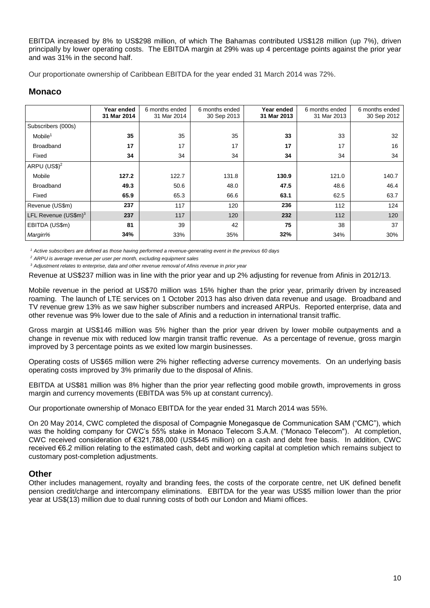EBITDA increased by 8% to US\$298 million, of which The Bahamas contributed US\$128 million (up 7%), driven principally by lower operating costs. The EBITDA margin at 29% was up 4 percentage points against the prior year and was 31% in the second half.

Our proportionate ownership of Caribbean EBITDA for the year ended 31 March 2014 was 72%.

## **Monaco**

|                                  | Year ended<br>31 Mar 2014 | 6 months ended<br>31 Mar 2014 | 6 months ended<br>30 Sep 2013 | Year ended<br>31 Mar 2013 | 6 months ended<br>31 Mar 2013 | 6 months ended<br>30 Sep 2012 |
|----------------------------------|---------------------------|-------------------------------|-------------------------------|---------------------------|-------------------------------|-------------------------------|
| Subscribers (000s)               |                           |                               |                               |                           |                               |                               |
| $M$ obile <sup>1</sup>           | 35                        | 35                            | 35                            | 33                        | 33                            | 32                            |
| <b>Broadband</b>                 | 17                        | 17                            | 17                            | 17                        | 17                            | 16                            |
| Fixed                            | 34                        | 34                            | 34                            | 34                        | 34                            | 34                            |
| ARPU (US\$) $2$                  |                           |                               |                               |                           |                               |                               |
| Mobile                           | 127.2                     | 122.7                         | 131.8                         | 130.9                     | 121.0                         | 140.7                         |
| <b>Broadband</b>                 | 49.3                      | 50.6                          | 48.0                          | 47.5                      | 48.6                          | 46.4                          |
| Fixed                            | 65.9                      | 65.3                          | 66.6                          | 63.1                      | 62.5                          | 63.7                          |
| Revenue (US\$m)                  | 237                       | 117                           | 120                           | 236                       | 112                           | 124                           |
| LFL Revenue (US\$m) <sup>3</sup> | 237                       | 117                           | 120                           | 232                       | 112                           | 120                           |
| EBITDA (US\$m)                   | 81                        | 39                            | 42                            | 75                        | 38                            | 37                            |
| Margin%                          | 34%                       | 33%                           | 35%                           | 32%                       | 34%                           | 30%                           |

*<sup>1</sup> Active subscribers are defined as those having performed a revenue-generating event in the previous 60 days*

*<sup>2</sup> ARPU is average revenue per user per month, excluding equipment sales*

*<sup>3</sup> Adjustment relates to enterprise, data and other revenue removal of Afinis revenue in prior year*

Revenue at US\$237 million was in line with the prior year and up 2% adjusting for revenue from Afinis in 2012/13.

Mobile revenue in the period at US\$70 million was 15% higher than the prior year, primarily driven by increased roaming. The launch of LTE services on 1 October 2013 has also driven data revenue and usage. Broadband and TV revenue grew 13% as we saw higher subscriber numbers and increased ARPUs. Reported enterprise, data and other revenue was 9% lower due to the sale of Afinis and a reduction in international transit traffic.

Gross margin at US\$146 million was 5% higher than the prior year driven by lower mobile outpayments and a change in revenue mix with reduced low margin transit traffic revenue. As a percentage of revenue, gross margin improved by 3 percentage points as we exited low margin businesses.

Operating costs of US\$65 million were 2% higher reflecting adverse currency movements. On an underlying basis operating costs improved by 3% primarily due to the disposal of Afinis.

EBITDA at US\$81 million was 8% higher than the prior year reflecting good mobile growth, improvements in gross margin and currency movements (EBITDA was 5% up at constant currency).

Our proportionate ownership of Monaco EBITDA for the year ended 31 March 2014 was 55%.

On 20 May 2014, CWC completed the disposal of Compagnie Monegasque de Communication SAM ("CMC"), which was the holding company for CWC's 55% stake in Monaco Telecom S.A.M. ("Monaco Telecom"). At completion, CWC received consideration of €321,788,000 (US\$445 million) on a cash and debt free basis. In addition, CWC received €6.2 million relating to the estimated cash, debt and working capital at completion which remains subject to customary post-completion adjustments.

### **Other**

Other includes management, royalty and branding fees, the costs of the corporate centre, net UK defined benefit pension credit/charge and intercompany eliminations. EBITDA for the year was US\$5 million lower than the prior year at US\$(13) million due to dual running costs of both our London and Miami offices.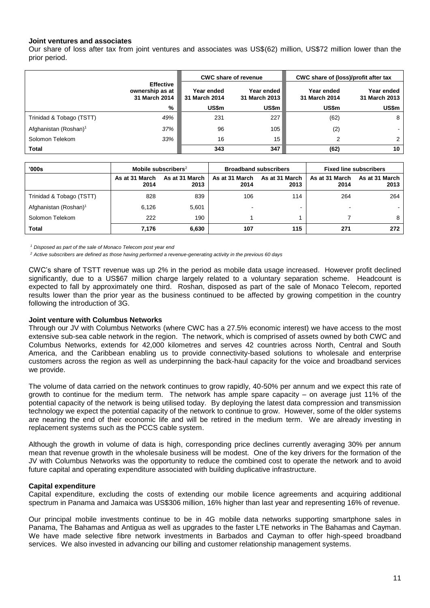#### **Joint ventures and associates**

Our share of loss after tax from joint ventures and associates was US\$(62) million, US\$72 million lower than the prior period.

|                                   |                                                      |                             | <b>CWC share of revenue</b>   | CWC share of (loss)/profit after tax |                             |  |
|-----------------------------------|------------------------------------------------------|-----------------------------|-------------------------------|--------------------------------------|-----------------------------|--|
|                                   | <b>Effective</b><br>ownership as at<br>31 March 2014 | Year ended<br>31 March 2014 | Year ended I<br>31 March 2013 | Year ended<br>31 March 2014          | Year ended<br>31 March 2013 |  |
|                                   | %                                                    | US\$m                       | US\$m                         | US\$m                                | US\$m                       |  |
| Trinidad & Tobago (TSTT)          | 49%                                                  | 231                         | 227                           | (62)                                 | 8                           |  |
| Afghanistan (Roshan) <sup>1</sup> | 37%                                                  | 96                          | 105                           | (2)                                  | ۰.                          |  |
| Solomon Telekom                   | 33%                                                  | 16                          | 15 <sup>1</sup>               | 2                                    | $\overline{2}$              |  |
| Total                             |                                                      | 343                         | 347                           | (62)                                 | 10                          |  |

| '000s                             | Mobile subscribers <sup>2</sup> |                        |                        | <b>Broadband subscribers</b> | <b>Fixed line subscribers</b> |                        |  |
|-----------------------------------|---------------------------------|------------------------|------------------------|------------------------------|-------------------------------|------------------------|--|
|                                   | As at 31 March<br>2014          | As at 31 March<br>2013 | As at 31 March<br>2014 | As at 31 March<br>2013       | As at 31 March<br>2014        | As at 31 March<br>2013 |  |
| Trinidad & Tobago (TSTT)          | 828                             | 839                    | 106                    | 114                          | 264                           | 264                    |  |
| Afghanistan (Roshan) <sup>1</sup> | 6.126                           | 5,601                  |                        | $\overline{\phantom{0}}$     | -                             |                        |  |
| Solomon Telekom                   | 222                             | 190                    |                        |                              |                               | 8                      |  |
| Total                             | 7,176                           | 6,630                  | 107                    | 115                          | 271                           | 272                    |  |

*<sup>1</sup> Disposed as part of the sale of Monaco Telecom post year end*

*<sup>2</sup> Active subscribers are defined as those having performed a revenue-generating activity in the previous 60 days*

CWC's share of TSTT revenue was up 2% in the period as mobile data usage increased. However profit declined significantly, due to a US\$67 million charge largely related to a voluntary separation scheme. Headcount is expected to fall by approximately one third. Roshan, disposed as part of the sale of Monaco Telecom, reported results lower than the prior year as the business continued to be affected by growing competition in the country following the introduction of 3G.

#### **Joint venture with Columbus Networks**

Through our JV with Columbus Networks (where CWC has a 27.5% economic interest) we have access to the most extensive sub-sea cable network in the region. The network, which is comprised of assets owned by both CWC and Columbus Networks, extends for 42,000 kilometres and serves 42 countries across North, Central and South America, and the Caribbean enabling us to provide connectivity-based solutions to wholesale and enterprise customers across the region as well as underpinning the back-haul capacity for the voice and broadband services we provide.

The volume of data carried on the network continues to grow rapidly, 40-50% per annum and we expect this rate of growth to continue for the medium term. The network has ample spare capacity – on average just 11% of the potential capacity of the network is being utilised today. By deploying the latest data compression and transmission technology we expect the potential capacity of the network to continue to grow. However, some of the older systems are nearing the end of their economic life and will be retired in the medium term. We are already investing in replacement systems such as the PCCS cable system.

Although the growth in volume of data is high, corresponding price declines currently averaging 30% per annum mean that revenue growth in the wholesale business will be modest. One of the key drivers for the formation of the JV with Columbus Networks was the opportunity to reduce the combined cost to operate the network and to avoid future capital and operating expenditure associated with building duplicative infrastructure.

#### **Capital expenditure**

Capital expenditure, excluding the costs of extending our mobile licence agreements and acquiring additional spectrum in Panama and Jamaica was US\$306 million, 16% higher than last year and representing 16% of revenue.

Our principal mobile investments continue to be in 4G mobile data networks supporting smartphone sales in Panama, The Bahamas and Antigua as well as upgrades to the faster LTE networks in The Bahamas and Cayman. We have made selective fibre network investments in Barbados and Cayman to offer high-speed broadband services. We also invested in advancing our billing and customer relationship management systems.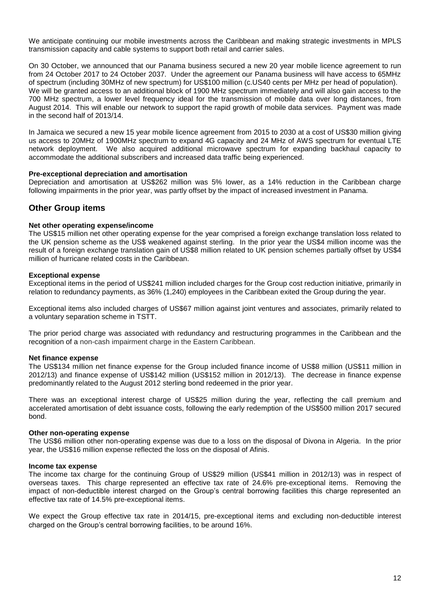We anticipate continuing our mobile investments across the Caribbean and making strategic investments in MPLS transmission capacity and cable systems to support both retail and carrier sales.

On 30 October, we announced that our Panama business secured a new 20 year mobile licence agreement to run from 24 October 2017 to 24 October 2037. Under the agreement our Panama business will have access to 65MHz of spectrum (including 30MHz of new spectrum) for US\$100 million (c.US40 cents per MHz per head of population). We will be granted access to an additional block of 1900 MHz spectrum immediately and will also gain access to the 700 MHz spectrum, a lower level frequency ideal for the transmission of mobile data over long distances, from August 2014. This will enable our network to support the rapid growth of mobile data services. Payment was made in the second half of 2013/14.

In Jamaica we secured a new 15 year mobile licence agreement from 2015 to 2030 at a cost of US\$30 million giving us access to 20MHz of 1900MHz spectrum to expand 4G capacity and 24 MHz of AWS spectrum for eventual LTE network deployment. We also acquired additional microwave spectrum for expanding backhaul capacity to accommodate the additional subscribers and increased data traffic being experienced.

#### **Pre-exceptional depreciation and amortisation**

Depreciation and amortisation at US\$262 million was 5% lower, as a 14% reduction in the Caribbean charge following impairments in the prior year, was partly offset by the impact of increased investment in Panama.

### **Other Group items**

#### **Net other operating expense/income**

The US\$15 million net other operating expense for the year comprised a foreign exchange translation loss related to the UK pension scheme as the US\$ weakened against sterling. In the prior year the US\$4 million income was the result of a foreign exchange translation gain of US\$8 million related to UK pension schemes partially offset by US\$4 million of hurricane related costs in the Caribbean.

#### **Exceptional expense**

Exceptional items in the period of US\$241 million included charges for the Group cost reduction initiative, primarily in relation to redundancy payments, as 36% (1,240) employees in the Caribbean exited the Group during the year.

Exceptional items also included charges of US\$67 million against joint ventures and associates, primarily related to a voluntary separation scheme in TSTT.

The prior period charge was associated with redundancy and restructuring programmes in the Caribbean and the recognition of a non-cash impairment charge in the Eastern Caribbean.

#### **Net finance expense**

The US\$134 million net finance expense for the Group included finance income of US\$8 million (US\$11 million in 2012/13) and finance expense of US\$142 million (US\$152 million in 2012/13). The decrease in finance expense predominantly related to the August 2012 sterling bond redeemed in the prior year.

There was an exceptional interest charge of US\$25 million during the year, reflecting the call premium and accelerated amortisation of debt issuance costs, following the early redemption of the US\$500 million 2017 secured bond.

#### **Other non-operating expense**

The US\$6 million other non-operating expense was due to a loss on the disposal of Divona in Algeria. In the prior year, the US\$16 million expense reflected the loss on the disposal of Afinis.

#### **Income tax expense**

The income tax charge for the continuing Group of US\$29 million (US\$41 million in 2012/13) was in respect of overseas taxes. This charge represented an effective tax rate of 24.6% pre-exceptional items. Removing the impact of non-deductible interest charged on the Group's central borrowing facilities this charge represented an effective tax rate of 14.5% pre-exceptional items.

We expect the Group effective tax rate in 2014/15, pre-exceptional items and excluding non-deductible interest charged on the Group's central borrowing facilities, to be around 16%.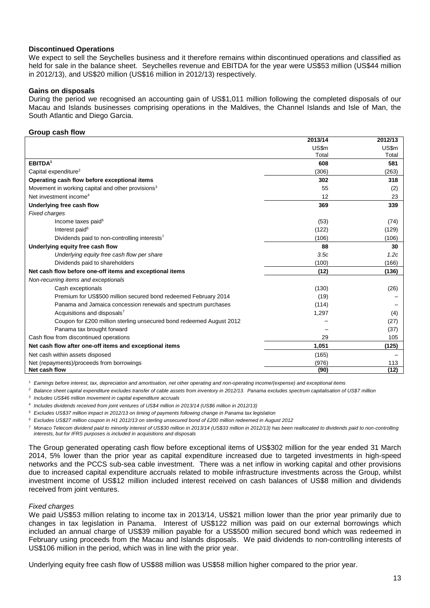#### **Discontinued Operations**

We expect to sell the Seychelles business and it therefore remains within discontinued operations and classified as held for sale in the balance sheet. Seychelles revenue and EBITDA for the year were US\$53 million (US\$44 million in 2012/13), and US\$20 million (US\$16 million in 2012/13) respectively.

#### **Gains on disposals**

During the period we recognised an accounting gain of US\$1,011 million following the completed disposals of our Macau and Islands businesses comprising operations in the Maldives, the Channel Islands and Isle of Man, the South Atlantic and Diego Garcia.

#### **Group cash flow**

|                                                                      | 2013/14 | 2012/13 |
|----------------------------------------------------------------------|---------|---------|
|                                                                      | US\$m   | US\$m   |
|                                                                      | Total   | Total   |
| EBITDA <sup>1</sup>                                                  | 608     | 581     |
| Capital expenditure <sup>2</sup>                                     | (306)   | (263)   |
| Operating cash flow before exceptional items                         | 302     | 318     |
| Movement in working capital and other provisions <sup>3</sup>        | 55      | (2)     |
| Net investment income <sup>4</sup>                                   | 12      | 23      |
| Underlying free cash flow                                            | 369     | 339     |
| <b>Fixed charges</b>                                                 |         |         |
| Income taxes paid <sup>5</sup>                                       | (53)    | (74)    |
| Interest paid <sup>6</sup>                                           | (122)   | (129)   |
| Dividends paid to non-controlling interests7                         | (106)   | (106)   |
| Underlying equity free cash flow                                     | 88      | 30      |
| Underlying equity free cash flow per share                           | 3.5c    | 1.2c    |
| Dividends paid to shareholders                                       | (100)   | (166)   |
| Net cash flow before one-off items and exceptional items             | (12)    | (136)   |
| Non-recurring items and exceptionals                                 |         |         |
| Cash exceptionals                                                    | (130)   | (26)    |
| Premium for US\$500 million secured bond redeemed February 2014      | (19)    |         |
| Panama and Jamaica concession renewals and spectrum purchases        | (114)   |         |
| Acquisitions and disposals <sup>7</sup>                              | 1,297   | (4)     |
| Coupon for £200 million sterling unsecured bond redeemed August 2012 |         | (27)    |
| Panama tax brought forward                                           |         | (37)    |
| Cash flow from discontinued operations                               | 29      | 105     |
| Net cash flow after one-off items and exceptional items              | 1,051   | (125)   |
| Net cash within assets disposed                                      | (165)   |         |
| Net (repayments)/proceeds from borrowings                            | (976)   | 113     |
| Net cash flow                                                        | (90)    | (12)    |

*<sup>1</sup> Earnings before interest, tax, depreciation and amortisation, net other operating and non-operating income/(expense) and exceptional items*

*<sup>2</sup> Balance sheet capital expenditure excludes transfer of cable assets from inventory in 2012/13. Panama excludes spectrum capitalisation of US\$7 million*

*3 Includes US\$46 million movement in capital expenditure accruals*

*4 Includes dividends received from joint ventures of US\$4 million in 2013/14 (US\$6 million in 2012/13)*

*<sup>5</sup> Excludes US\$37 million impact in 2012/13 on timing of payments following change in Panama tax legislation*

*<sup>6</sup> Excludes US\$27 million coupon in H1 2012/13 on sterling unsecured bond of £200 million redeemed in August 2012*

*<sup>7</sup> Monaco Telecom dividend paid to minority interest of US\$30 million in 2013/14 (US\$33 million in 2012/13) has been reallocated to dividends paid to non-controlling interests, but for IFRS purposes is included in acquisitions and disposals*

The Group generated operating cash flow before exceptional items of US\$302 million for the year ended 31 March 2014, 5% lower than the prior year as capital expenditure increased due to targeted investments in high-speed networks and the PCCS sub-sea cable investment. There was a net inflow in working capital and other provisions due to increased capital expenditure accruals related to mobile infrastructure investments across the Group, whilst investment income of US\$12 million included interest received on cash balances of US\$8 million and dividends received from joint ventures.

#### *Fixed charges*

We paid US\$53 million relating to income tax in 2013/14, US\$21 million lower than the prior year primarily due to changes in tax legislation in Panama. Interest of US\$122 million was paid on our external borrowings which included an annual charge of US\$39 million payable for a US\$500 million secured bond which was redeemed in February using proceeds from the Macau and Islands disposals. We paid dividends to non-controlling interests of US\$106 million in the period, which was in line with the prior year.

Underlying equity free cash flow of US\$88 million was US\$58 million higher compared to the prior year.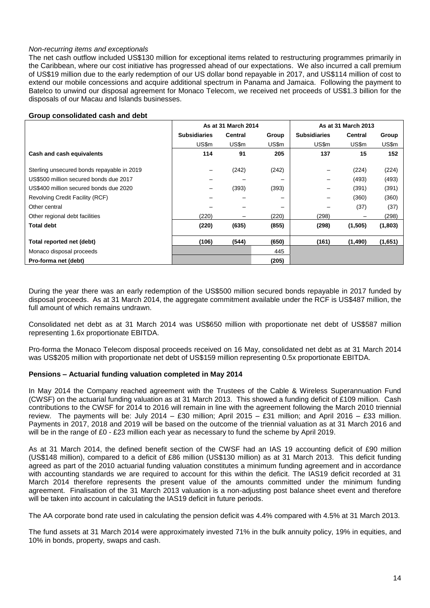#### *Non-recurring items and exceptionals*

The net cash outflow included US\$130 million for exceptional items related to restructuring programmes primarily in the Caribbean, where our cost initiative has progressed ahead of our expectations. We also incurred a call premium of US\$19 million due to the early redemption of our US dollar bond repayable in 2017, and US\$114 million of cost to extend our mobile concessions and acquire additional spectrum in Panama and Jamaica. Following the payment to Batelco to unwind our disposal agreement for Monaco Telecom, we received net proceeds of US\$1.3 billion for the disposals of our Macau and Islands businesses.

| Group consolidated cash and debt |  |
|----------------------------------|--|
|                                  |  |

|                                            |                     | As at 31 March 2014 |       | As at 31 March 2013 |          |         |  |
|--------------------------------------------|---------------------|---------------------|-------|---------------------|----------|---------|--|
|                                            | <b>Subsidiaries</b> | <b>Central</b>      | Group | <b>Subsidiaries</b> | Central  | Group   |  |
|                                            | US\$m               | US\$m               | US\$m | US\$m               | US\$m    | US\$m   |  |
| Cash and cash equivalents                  | 114                 | 91                  | 205   | 137                 | 15       | 152     |  |
| Sterling unsecured bonds repayable in 2019 | —                   | (242)               | (242) |                     | (224)    | (224)   |  |
| US\$500 million secured bonds due 2017     |                     |                     |       |                     |          |         |  |
|                                            |                     |                     |       |                     | (493)    | (493)   |  |
| US\$400 million secured bonds due 2020     | -                   | (393)               | (393) |                     | (391)    | (391)   |  |
| Revolving Credit Facility (RCF)            |                     |                     | -     |                     | (360)    | (360)   |  |
| Other central                              |                     |                     | -     |                     | (37)     | (37)    |  |
| Other regional debt facilities             | (220)               |                     | (220) | (298)               |          | (298)   |  |
| <b>Total debt</b>                          | (220)               | (635)               | (855) | (298)               | (1, 505) | (1,803) |  |
| Total reported net (debt)                  | (106)               | (544)               | (650) | (161)               | (1,490)  | (1,651) |  |
| Monaco disposal proceeds                   |                     |                     | 445   |                     |          |         |  |
| Pro-forma net (debt)                       |                     |                     | (205) |                     |          |         |  |

During the year there was an early redemption of the US\$500 million secured bonds repayable in 2017 funded by disposal proceeds. As at 31 March 2014, the aggregate commitment available under the RCF is US\$487 million, the full amount of which remains undrawn.

Consolidated net debt as at 31 March 2014 was US\$650 million with proportionate net debt of US\$587 million representing 1.6x proportionate EBITDA.

Pro-forma the Monaco Telecom disposal proceeds received on 16 May, consolidated net debt as at 31 March 2014 was US\$205 million with proportionate net debt of US\$159 million representing 0.5x proportionate EBITDA.

#### **Pensions – Actuarial funding valuation completed in May 2014**

In May 2014 the Company reached agreement with the Trustees of the Cable & Wireless Superannuation Fund (CWSF) on the actuarial funding valuation as at 31 March 2013. This showed a funding deficit of £109 million. Cash contributions to the CWSF for 2014 to 2016 will remain in line with the agreement following the March 2010 triennial review. The payments will be: July 2014 – £30 million; April 2015 – £31 million; and April 2016 – £33 million. Payments in 2017, 2018 and 2019 will be based on the outcome of the triennial valuation as at 31 March 2016 and will be in the range of £0 - £23 million each year as necessary to fund the scheme by April 2019.

As at 31 March 2014, the defined benefit section of the CWSF had an IAS 19 accounting deficit of £90 million (US\$148 million), compared to a deficit of £86 million (US\$130 million) as at 31 March 2013. This deficit funding agreed as part of the 2010 actuarial funding valuation constitutes a minimum funding agreement and in accordance with accounting standards we are required to account for this within the deficit. The IAS19 deficit recorded at 31 March 2014 therefore represents the present value of the amounts committed under the minimum funding agreement. Finalisation of the 31 March 2013 valuation is a non-adjusting post balance sheet event and therefore will be taken into account in calculating the IAS19 deficit in future periods.

The AA corporate bond rate used in calculating the pension deficit was 4.4% compared with 4.5% at 31 March 2013.

The fund assets at 31 March 2014 were approximately invested 71% in the bulk annuity policy, 19% in equities, and 10% in bonds, property, swaps and cash.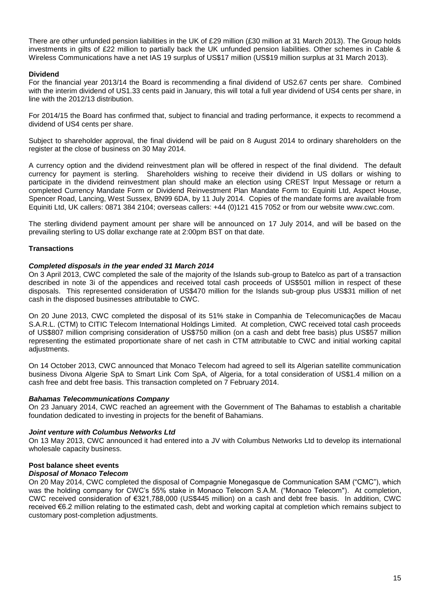There are other unfunded pension liabilities in the UK of £29 million (£30 million at 31 March 2013). The Group holds investments in gilts of £22 million to partially back the UK unfunded pension liabilities. Other schemes in Cable & Wireless Communications have a net IAS 19 surplus of US\$17 million (US\$19 million surplus at 31 March 2013).

#### **Dividend**

For the financial year 2013/14 the Board is recommending a final dividend of US2.67 cents per share. Combined with the interim dividend of US1.33 cents paid in January, this will total a full year dividend of US4 cents per share, in line with the 2012/13 distribution.

For 2014/15 the Board has confirmed that, subject to financial and trading performance, it expects to recommend a dividend of US4 cents per share.

Subject to shareholder approval, the final dividend will be paid on 8 August 2014 to ordinary shareholders on the register at the close of business on 30 May 2014.

A currency option and the dividend reinvestment plan will be offered in respect of the final dividend. The default currency for payment is sterling. Shareholders wishing to receive their dividend in US dollars or wishing to participate in the dividend reinvestment plan should make an election using CREST Input Message or return a completed Currency Mandate Form or Dividend Reinvestment Plan Mandate Form to: Equiniti Ltd, Aspect House, Spencer Road, Lancing, West Sussex, BN99 6DA, by 11 July 2014. Copies of the mandate forms are available from Equiniti Ltd, UK callers: 0871 384 2104; overseas callers: +44 (0)121 415 7052 or from our website www.cwc.com.

The sterling dividend payment amount per share will be announced on 17 July 2014, and will be based on the prevailing sterling to US dollar exchange rate at 2:00pm BST on that date.

#### **Transactions**

#### *Completed disposals in the year ended 31 March 2014*

On 3 April 2013, CWC completed the sale of the majority of the Islands sub-group to Batelco as part of a transaction described in note 3i of the appendices and received total cash proceeds of US\$501 million in respect of these disposals. This represented consideration of US\$470 million for the Islands sub-group plus US\$31 million of net cash in the disposed businesses attributable to CWC.

On 20 June 2013, CWC completed the disposal of its 51% stake in Companhia de Telecomunicações de Macau S.A.R.L. (CTM) to CITIC Telecom International Holdings Limited. At completion, CWC received total cash proceeds of US\$807 million comprising consideration of US\$750 million (on a cash and debt free basis) plus US\$57 million representing the estimated proportionate share of net cash in CTM attributable to CWC and initial working capital adjustments.

On 14 October 2013, CWC announced that Monaco Telecom had agreed to sell its Algerian satellite communication business Divona Algerie SpA to Smart Link Com SpA, of Algeria, for a total consideration of US\$1.4 million on a cash free and debt free basis. This transaction completed on 7 February 2014.

#### *Bahamas Telecommunications Company*

On 23 January 2014, CWC reached an agreement with the Government of The Bahamas to establish a charitable foundation dedicated to investing in projects for the benefit of Bahamians.

#### *Joint venture with Columbus Networks Ltd*

On 13 May 2013, CWC announced it had entered into a JV with Columbus Networks Ltd to develop its international wholesale capacity business.

#### **Post balance sheet events**

#### *Disposal of Monaco Telecom*

On 20 May 2014, CWC completed the disposal of Compagnie Monegasque de Communication SAM ("CMC"), which was the holding company for CWC's 55% stake in Monaco Telecom S.A.M. ("Monaco Telecom"). At completion, CWC received consideration of €321,788,000 (US\$445 million) on a cash and debt free basis. In addition, CWC received €6.2 million relating to the estimated cash, debt and working capital at completion which remains subject to customary post-completion adjustments.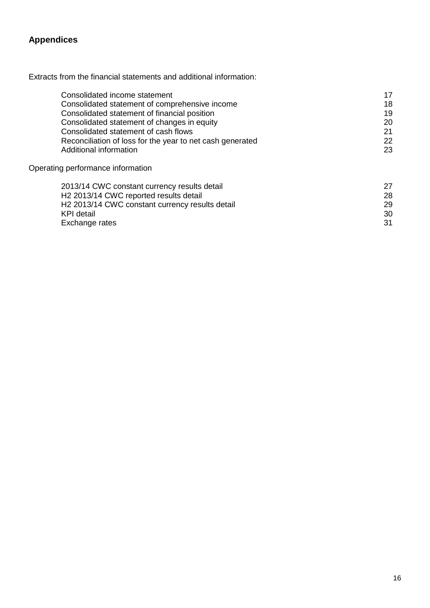# **Appendices**

Extracts from the financial statements and additional information:

| Consolidated income statement                             | 17 |
|-----------------------------------------------------------|----|
| Consolidated statement of comprehensive income            | 18 |
| Consolidated statement of financial position              | 19 |
| Consolidated statement of changes in equity               | 20 |
| Consolidated statement of cash flows                      | 21 |
| Reconciliation of loss for the year to net cash generated | 22 |
| Additional information                                    | 23 |
| Operating performance information                         |    |
| 2013/14 CWC constant currency results detail              | 27 |
| H2 2013/14 CWC reported results detail                    | 28 |

| HZ 2013/14 CWC reported results detail                      |    |
|-------------------------------------------------------------|----|
| H <sub>2</sub> 2013/14 CWC constant currency results detail | 29 |
| KPI detail                                                  | 30 |
| Exchange rates                                              | 31 |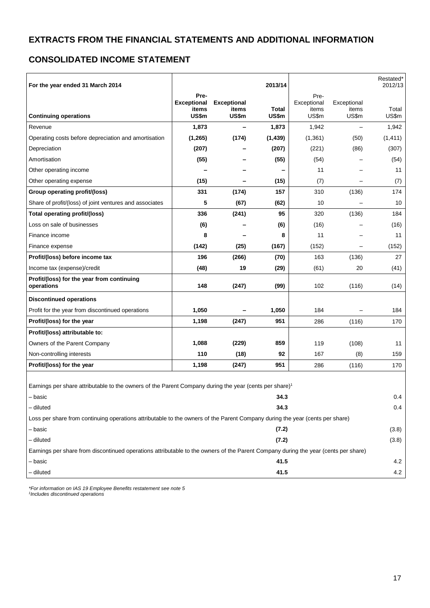## **CONSOLIDATED INCOME STATEMENT**

| For the year ended 31 March 2014                                                                                                   |                                              |                                      | 2013/14               |                                       |                               | Restated*<br>2012/13 |
|------------------------------------------------------------------------------------------------------------------------------------|----------------------------------------------|--------------------------------------|-----------------------|---------------------------------------|-------------------------------|----------------------|
| <b>Continuing operations</b>                                                                                                       | Pre-<br><b>Exceptional</b><br>items<br>US\$m | <b>Exceptional</b><br>items<br>US\$m | <b>Total</b><br>US\$m | Pre-<br>Exceptional<br>items<br>US\$m | Exceptional<br>items<br>US\$m | Total<br>US\$m       |
| Revenue                                                                                                                            | 1,873                                        | -                                    | 1,873                 | 1,942                                 |                               | 1,942                |
| Operating costs before depreciation and amortisation                                                                               | (1, 265)                                     | (174)                                | (1, 439)              | (1,361)                               | (50)                          | (1, 411)             |
| Depreciation                                                                                                                       | (207)                                        |                                      | (207)                 | (221)                                 | (86)                          | (307)                |
| Amortisation                                                                                                                       | (55)                                         |                                      | (55)                  | (54)                                  |                               | (54)                 |
| Other operating income                                                                                                             |                                              |                                      |                       | 11                                    |                               | 11                   |
| Other operating expense                                                                                                            | (15)                                         |                                      | (15)                  | (7)                                   |                               | (7)                  |
| Group operating profit/(loss)                                                                                                      | 331                                          | (174)                                | 157                   | 310                                   | (136)                         | 174                  |
| Share of profit/(loss) of joint ventures and associates                                                                            | 5                                            | (67)                                 | (62)                  | 10                                    |                               | 10                   |
| Total operating profit/(loss)                                                                                                      | 336                                          | (241)                                | 95                    | 320                                   | (136)                         | 184                  |
| Loss on sale of businesses                                                                                                         | (6)                                          |                                      | (6)                   | (16)                                  |                               | (16)                 |
| Finance income                                                                                                                     | 8                                            |                                      | 8                     | 11                                    |                               | 11                   |
| Finance expense                                                                                                                    | (142)                                        | (25)                                 | (167)                 | (152)                                 |                               | (152)                |
| Profit/(loss) before income tax                                                                                                    | 196                                          | (266)                                | (70)                  | 163                                   | (136)                         | 27                   |
| Income tax (expense)/credit                                                                                                        | (48)                                         | 19                                   | (29)                  | (61)                                  | 20                            | (41)                 |
| Profit/(loss) for the year from continuing<br>operations                                                                           | 148                                          | (247)                                | (99)                  | 102                                   | (116)                         | (14)                 |
| <b>Discontinued operations</b>                                                                                                     |                                              |                                      |                       |                                       |                               |                      |
| Profit for the year from discontinued operations                                                                                   | 1,050                                        |                                      | 1,050                 | 184                                   |                               | 184                  |
| Profit/(loss) for the year                                                                                                         | 1,198                                        | (247)                                | 951                   | 286                                   | (116)                         | 170                  |
| Profit/(loss) attributable to:                                                                                                     |                                              |                                      |                       |                                       |                               |                      |
| Owners of the Parent Company                                                                                                       | 1,088                                        | (229)                                | 859                   | 119                                   | (108)                         | 11                   |
| Non-controlling interests                                                                                                          | 110                                          | (18)                                 | 92                    | 167                                   | (8)                           | 159                  |
| Profit/(loss) for the year                                                                                                         | 1,198                                        | (247)                                | 951                   | 286                                   | (116)                         | 170                  |
| Earnings per share attributable to the owners of the Parent Company during the year (cents per share) <sup>1</sup>                 |                                              |                                      |                       |                                       |                               |                      |
| – basic                                                                                                                            |                                              |                                      | 34.3                  |                                       |                               | 0.4                  |
| – diluted                                                                                                                          |                                              |                                      | 34.3                  |                                       |                               | 0.4                  |
| Loss per share from continuing operations attributable to the owners of the Parent Company during the year (cents per share)       |                                              |                                      |                       |                                       |                               |                      |
| – basic                                                                                                                            |                                              |                                      | (7.2)                 |                                       |                               | (3.8)                |
| - diluted                                                                                                                          |                                              |                                      | (7.2)                 |                                       |                               | (3.8)                |
| Earnings per share from discontinued operations attributable to the owners of the Parent Company during the year (cents per share) |                                              |                                      |                       |                                       |                               |                      |
| – basic                                                                                                                            |                                              |                                      | 41.5                  |                                       |                               | 4.2                  |
| - diluted                                                                                                                          |                                              |                                      | 41.5                  |                                       |                               | 4.2                  |

*\*For information on IAS 19 Employee Benefits restatement see note 5 1 Includes discontinued operations*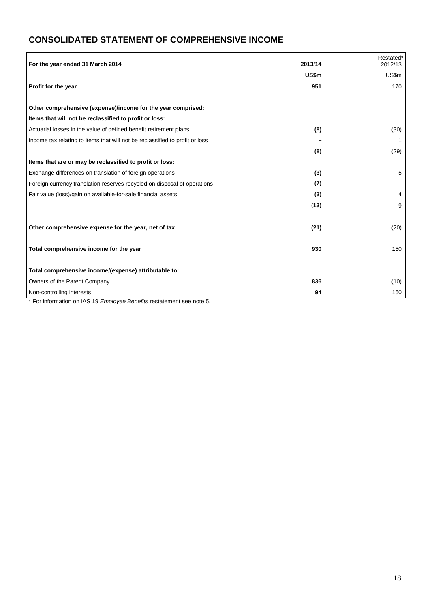# **CONSOLIDATED STATEMENT OF COMPREHENSIVE INCOME**

| For the year ended 31 March 2014                                             | 2013/14      | Restated*<br>2012/13 |
|------------------------------------------------------------------------------|--------------|----------------------|
|                                                                              | <b>US\$m</b> | US\$m                |
| Profit for the year                                                          | 951          | 170                  |
|                                                                              |              |                      |
| Other comprehensive (expense)/income for the year comprised:                 |              |                      |
| Items that will not be reclassified to profit or loss:                       |              |                      |
| Actuarial losses in the value of defined benefit retirement plans            | (8)          | (30)                 |
| Income tax relating to items that will not be reclassified to profit or loss |              | 1                    |
|                                                                              | (8)          | (29)                 |
| Items that are or may be reclassified to profit or loss:                     |              |                      |
| Exchange differences on translation of foreign operations                    | (3)          | 5                    |
| Foreign currency translation reserves recycled on disposal of operations     | (7)          |                      |
| Fair value (loss)/gain on available-for-sale financial assets                | (3)          | 4                    |
|                                                                              | (13)         | 9                    |
|                                                                              |              |                      |
| Other comprehensive expense for the year, net of tax                         | (21)         | (20)                 |
|                                                                              |              |                      |
| Total comprehensive income for the year                                      | 930          | 150                  |
|                                                                              |              |                      |
| Total comprehensive income/(expense) attributable to:                        |              |                      |
| Owners of the Parent Company                                                 | 836          | (10)                 |
| Non-controlling interests                                                    | 94           | 160                  |

\* For information on IAS 19 *Employee Benefits* restatement see note 5.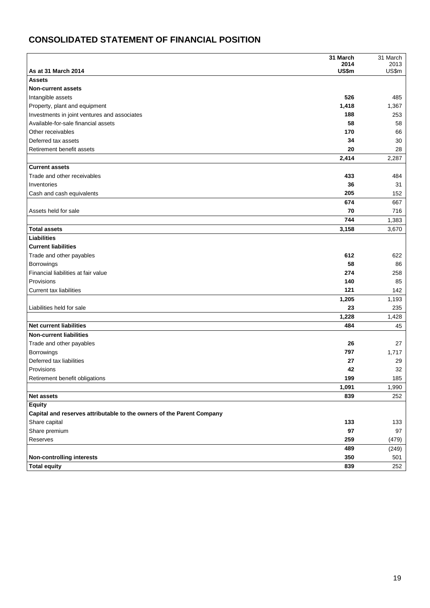# **CONSOLIDATED STATEMENT OF FINANCIAL POSITION**

|                                                                       | 31 March      | 31 March      |
|-----------------------------------------------------------------------|---------------|---------------|
| As at 31 March 2014                                                   | 2014<br>US\$m | 2013<br>US\$m |
| <b>Assets</b>                                                         |               |               |
| <b>Non-current assets</b>                                             |               |               |
| Intangible assets                                                     | 526           | 485           |
| Property, plant and equipment                                         | 1,418         | 1,367         |
| Investments in joint ventures and associates                          | 188           | 253           |
| Available-for-sale financial assets                                   | 58            | 58            |
| Other receivables                                                     | 170           | 66            |
| Deferred tax assets                                                   | 34            | 30            |
| Retirement benefit assets                                             | 20            | 28            |
|                                                                       | 2,414         | 2,287         |
| <b>Current assets</b>                                                 |               |               |
| Trade and other receivables                                           | 433           | 484           |
| Inventories                                                           | 36            | 31            |
| Cash and cash equivalents                                             | 205           | 152           |
|                                                                       | 674           | 667           |
| Assets held for sale                                                  | 70            | 716           |
|                                                                       | 744           | 1,383         |
| <b>Total assets</b>                                                   | 3,158         | 3,670         |
| Liabilities                                                           |               |               |
| <b>Current liabilities</b>                                            |               |               |
| Trade and other payables                                              | 612           | 622           |
| <b>Borrowings</b>                                                     | 58            | 86            |
| Financial liabilities at fair value                                   | 274           | 258           |
| Provisions                                                            | 140           | 85            |
| <b>Current tax liabilities</b>                                        | 121           | 142           |
|                                                                       | 1,205         | 1,193         |
| Liabilities held for sale                                             | 23            | 235           |
| <b>Net current liabilities</b>                                        | 1,228<br>484  | 1,428         |
| <b>Non-current liabilities</b>                                        |               | 45            |
|                                                                       |               |               |
| Trade and other payables                                              | 26<br>797     | 27<br>1,717   |
| Borrowings<br>Deferred tax liabilities                                | 27            | 29            |
| Provisions                                                            | 42            | 32            |
| Retirement benefit obligations                                        | 199           | 185           |
|                                                                       | 1,091         | 1,990         |
| <b>Net assets</b>                                                     | 839           | 252           |
| <b>Equity</b>                                                         |               |               |
| Capital and reserves attributable to the owners of the Parent Company |               |               |
| Share capital                                                         | 133           | 133           |
| Share premium                                                         | 97            | $97\,$        |
| Reserves                                                              | 259           | (479)         |
|                                                                       | 489           | (249)         |
| <b>Non-controlling interests</b>                                      | 350           | 501           |
| <b>Total equity</b>                                                   | 839           | 252           |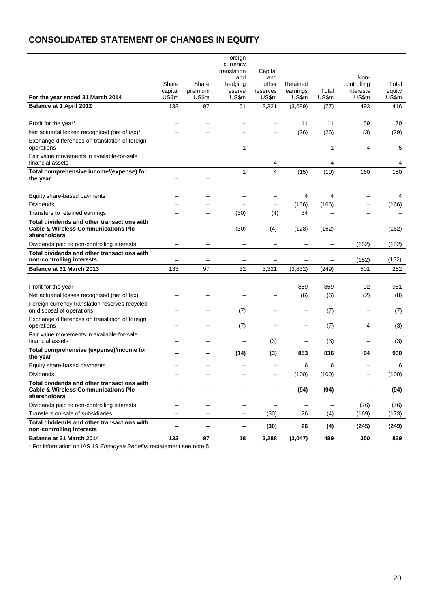# **CONSOLIDATED STATEMENT OF CHANGES IN EQUITY**

|                                                                                                               |                  |                   | Foreign<br>currency<br>translation | Capital        |                   |                |                     |              |
|---------------------------------------------------------------------------------------------------------------|------------------|-------------------|------------------------------------|----------------|-------------------|----------------|---------------------|--------------|
|                                                                                                               | Share            | Share             | and<br>hedging                     | and<br>other   | Retained          |                | Non-<br>controlling | Total        |
|                                                                                                               | capital<br>US\$m | premium<br>US\$m  | reserve<br>US\$m                   | reserves       | earnings          | Total<br>US\$m | interests<br>US\$m  | equity       |
| For the year ended 31 March 2014<br>Balance at 1 April 2012                                                   | 133              | 97                | 61                                 | US\$m<br>3,321 | US\$m<br>(3,689)  | (77)           | 493                 | US\$m<br>416 |
|                                                                                                               |                  |                   |                                    |                |                   |                |                     |              |
| Profit for the year*                                                                                          |                  |                   |                                    |                | 11                | 11             | 159                 | 170          |
| Net actuarial losses recognised (net of tax)*                                                                 |                  |                   |                                    |                | (26)              | (26)           | (3)                 | (29)         |
| Exchange differences on translation of foreign<br>operations                                                  |                  |                   | 1                                  |                |                   | 1              | 4                   | 5            |
| Fair value movements in available-for-sale<br>financial assets                                                |                  |                   |                                    | 4              |                   | 4              |                     | 4            |
| Total comprehensive income/(expense) for<br>the year                                                          |                  |                   | $\mathbf{1}$                       | 4              | (15)              | (10)           | 160                 | 150          |
| Equity share-based payments                                                                                   |                  |                   |                                    |                | 4                 | 4              |                     | 4            |
| <b>Dividends</b>                                                                                              |                  |                   |                                    |                | (166)             | (166)          |                     | (166)        |
| Transfers to retained earnings                                                                                |                  |                   | (30)                               | (4)            | 34                |                |                     |              |
| Total dividends and other transactions with<br><b>Cable &amp; Wireless Communications Plc</b><br>shareholders |                  |                   | (30)                               | (4)            | (128)             | (162)          |                     | (162)        |
| Dividends paid to non-controlling interests                                                                   |                  |                   |                                    |                |                   |                | (152)               | (152)        |
| Total dividends and other transactions with<br>non-controlling interests                                      |                  |                   |                                    |                |                   |                | (152)               | (152)        |
| Balance at 31 March 2013                                                                                      | 133              | 97                | 32                                 | 3,321          | (3,832)           | (249)          | 501                 | 252          |
|                                                                                                               |                  |                   |                                    |                |                   |                |                     |              |
| Profit for the year<br>Net actuarial losses recognised (net of tax)                                           |                  |                   |                                    |                | 859<br>(6)        | 859<br>(6)     | 92<br>(2)           | 951<br>(8)   |
| Foreign currency translation reserves recycled<br>on disposal of operations                                   |                  |                   | (7)                                |                |                   | (7)            |                     | (7)          |
| Exchange differences on translation of foreign<br>operations                                                  |                  |                   | (7)                                |                |                   | (7)            | 4                   | (3)          |
| Fair value movements in available-for-sale<br>financial assets                                                |                  |                   |                                    | (3)            |                   | (3)            | -                   | (3)          |
| Total comprehensive (expense)/income for<br>the year                                                          |                  |                   | (14)                               | (3)            | 853               | 836            | 94                  | 930          |
| Equity share-based payments                                                                                   |                  |                   |                                    |                | 6                 | 6              |                     | 6            |
| Dividends                                                                                                     |                  |                   |                                    |                | (100)             | (100)          |                     | (100)        |
| Total dividends and other transactions with<br><b>Cable &amp; Wireless Communications Plc</b><br>shareholders |                  |                   |                                    |                | (94)              | (94)           |                     | (94)         |
| Dividends paid to non-controlling interests                                                                   |                  |                   |                                    | —              | $\qquad \qquad -$ | -              | (76)                | (76)         |
| Transfers on sale of subsidiaries                                                                             |                  | $\qquad \qquad -$ | -                                  | (30)           | 26                | (4)            | (169)               | (173)        |
| Total dividends and other transactions with<br>non-controlling interests                                      |                  | -                 | -                                  | (30)           | 26                | (4)            | (245)               | (249)        |
| Balance at 31 March 2014                                                                                      | 133              | 97                | 18                                 | 3,288          | (3,047)           | 489            | 350                 | 839          |

\* For information on IAS 19 *Employee Benefits* restatement see note 5.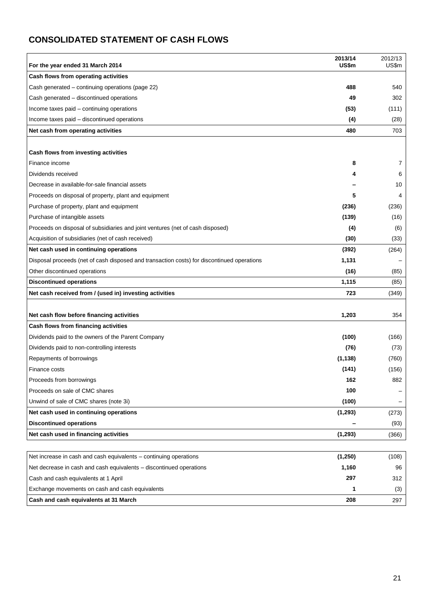# **CONSOLIDATED STATEMENT OF CASH FLOWS**

| For the year ended 31 March 2014                                                           | 2013/14<br>US\$m | 2012/13<br>US\$m |
|--------------------------------------------------------------------------------------------|------------------|------------------|
| Cash flows from operating activities                                                       |                  |                  |
| Cash generated – continuing operations (page 22)                                           | 488              | 540              |
| Cash generated - discontinued operations                                                   | 49               | 302              |
| Income taxes paid - continuing operations                                                  | (53)             | (111)            |
| Income taxes paid - discontinued operations                                                | (4)              | (28)             |
| Net cash from operating activities                                                         | 480              | 703              |
|                                                                                            |                  |                  |
| Cash flows from investing activities                                                       |                  |                  |
| Finance income                                                                             | 8                | 7                |
| Dividends received                                                                         |                  | 6                |
| Decrease in available-for-sale financial assets                                            |                  | 10               |
| Proceeds on disposal of property, plant and equipment                                      | 5                | 4                |
| Purchase of property, plant and equipment                                                  | (236)            | (236)            |
| Purchase of intangible assets                                                              | (139)            | (16)             |
| Proceeds on disposal of subsidiaries and joint ventures (net of cash disposed)             | (4)              | (6)              |
| Acquisition of subsidiaries (net of cash received)                                         | (30)             | (33)             |
| Net cash used in continuing operations                                                     | (392)            | (264)            |
| Disposal proceeds (net of cash disposed and transaction costs) for discontinued operations | 1,131            |                  |
| Other discontinued operations                                                              | (16)             | (85)             |
| <b>Discontinued operations</b>                                                             | 1,115            | (85)             |
| Net cash received from / (used in) investing activities                                    | 723              | (349)            |
| Net cash flow before financing activities                                                  | 1,203            | 354              |
| Cash flows from financing activities                                                       |                  |                  |
| Dividends paid to the owners of the Parent Company                                         | (100)            | (166)            |
| Dividends paid to non-controlling interests                                                | (76)             | (73)             |
| Repayments of borrowings                                                                   | (1, 138)         | (760)            |
| Finance costs                                                                              | (141)            | (156)            |
| Proceeds from borrowings                                                                   | 162              | 882              |
| Proceeds on sale of CMC shares                                                             | 100              |                  |
| Unwind of sale of CMC shares (note 3i)                                                     | (100)            |                  |
| Net cash used in continuing operations                                                     | (1, 293)         | (273)            |
| <b>Discontinued operations</b>                                                             |                  | (93)             |
| Net cash used in financing activities                                                      | (1, 293)         | (366)            |
|                                                                                            |                  |                  |
| Net increase in cash and cash equivalents – continuing operations                          | (1,250)          | (108)            |
| Net decrease in cash and cash equivalents – discontinued operations                        | 1,160            | 96               |
| Cash and cash equivalents at 1 April                                                       | 297              | 312              |
| Exchange movements on cash and cash equivalents                                            | 1                | (3)              |
| Cash and cash equivalents at 31 March                                                      | 208              | 297              |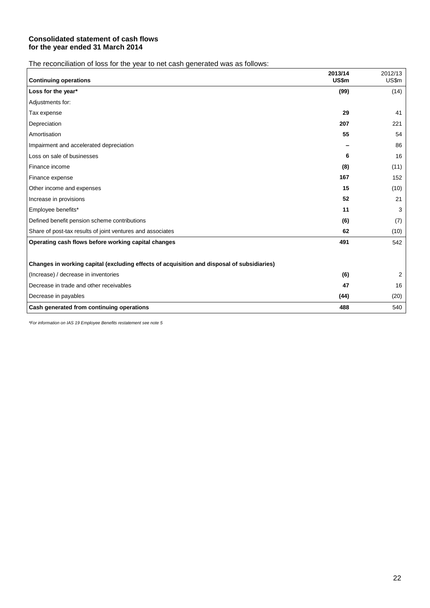#### **Consolidated statement of cash flows for the year ended 31 March 2014**

The reconciliation of loss for the year to net cash generated was as follows:

| <b>Continuing operations</b>                                                               | 2013/14<br>US\$m | 2012/13<br>US\$m |
|--------------------------------------------------------------------------------------------|------------------|------------------|
| Loss for the year*                                                                         | (99)             | (14)             |
| Adjustments for:                                                                           |                  |                  |
| Tax expense                                                                                | 29               | 41               |
| Depreciation                                                                               | 207              | 221              |
| Amortisation                                                                               | 55               | 54               |
| Impairment and accelerated depreciation                                                    |                  | 86               |
| Loss on sale of businesses                                                                 | 6                | 16               |
| Finance income                                                                             | (8)              | (11)             |
| Finance expense                                                                            | 167              | 152              |
| Other income and expenses                                                                  | 15               | (10)             |
| Increase in provisions                                                                     | 52               | 21               |
| Employee benefits*                                                                         | 11               | 3                |
| Defined benefit pension scheme contributions                                               | (6)              | (7)              |
| Share of post-tax results of joint ventures and associates                                 | 62               | (10)             |
| Operating cash flows before working capital changes                                        | 491              | 542              |
|                                                                                            |                  |                  |
| Changes in working capital (excluding effects of acquisition and disposal of subsidiaries) |                  |                  |
| (Increase) / decrease in inventories                                                       | (6)              | 2                |
| Decrease in trade and other receivables                                                    | 47               | 16               |
| Decrease in payables                                                                       | (44)             | (20)             |
| Cash generated from continuing operations                                                  | 488              | 540              |

*\*For information on IAS 19 Employee Benefits restatement see note 5*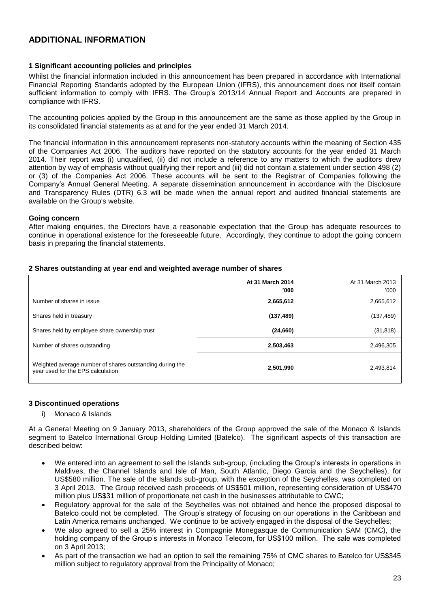## **ADDITIONAL INFORMATION**

#### **1 Significant accounting policies and principles**

Whilst the financial information included in this announcement has been prepared in accordance with International Financial Reporting Standards adopted by the European Union (IFRS), this announcement does not itself contain sufficient information to comply with IFRS. The Group's 2013/14 Annual Report and Accounts are prepared in compliance with IFRS.

The accounting policies applied by the Group in this announcement are the same as those applied by the Group in its consolidated financial statements as at and for the year ended 31 March 2014.

The financial information in this announcement represents non-statutory accounts within the meaning of Section 435 of the Companies Act 2006. The auditors have reported on the statutory accounts for the year ended 31 March 2014. Their report was (i) unqualified, (ii) did not include a reference to any matters to which the auditors drew attention by way of emphasis without qualifying their report and (iii) did not contain a statement under section 498 (2) or (3) of the Companies Act 2006. These accounts will be sent to the Registrar of Companies following the Company's Annual General Meeting. A separate dissemination announcement in accordance with the Disclosure and Transparency Rules (DTR) 6.3 will be made when the annual report and audited financial statements are available on the Group's website.

#### **Going concern**

After making enquiries, the Directors have a reasonable expectation that the Group has adequate resources to continue in operational existence for the foreseeable future. Accordingly, they continue to adopt the going concern basis in preparing the financial statements.

#### **2 Shares outstanding at year end and weighted average number of shares**

|                                                                                               | At 31 March 2014<br>'000 | At 31 March 2013<br>'000 |
|-----------------------------------------------------------------------------------------------|--------------------------|--------------------------|
| Number of shares in issue                                                                     | 2,665,612                | 2,665,612                |
| Shares held in treasury                                                                       | (137, 489)               | (137, 489)               |
| Shares held by employee share ownership trust                                                 | (24, 660)                | (31, 818)                |
| Number of shares outstanding                                                                  | 2,503,463                | 2,496,305                |
| Weighted average number of shares outstanding during the<br>year used for the EPS calculation | 2,501,990                | 2,493,814                |

#### **3 Discontinued operations**

#### i) Monaco & Islands

At a General Meeting on 9 January 2013, shareholders of the Group approved the sale of the Monaco & Islands segment to Batelco International Group Holding Limited (Batelco). The significant aspects of this transaction are described below:

- We entered into an agreement to sell the Islands sub-group, (including the Group's interests in operations in Maldives, the Channel Islands and Isle of Man, South Atlantic, Diego Garcia and the Seychelles), for US\$580 million. The sale of the Islands sub-group, with the exception of the Seychelles, was completed on 3 April 2013. The Group received cash proceeds of US\$501 million, representing consideration of US\$470 million plus US\$31 million of proportionate net cash in the businesses attributable to CWC;
- Regulatory approval for the sale of the Seychelles was not obtained and hence the proposed disposal to Batelco could not be completed. The Group's strategy of focusing on our operations in the Caribbean and Latin America remains unchanged. We continue to be actively engaged in the disposal of the Seychelles;
- We also agreed to sell a 25% interest in Compagnie Monegasque de Communication SAM (CMC), the holding company of the Group's interests in Monaco Telecom, for US\$100 million. The sale was completed on 3 April 2013;
- As part of the transaction we had an option to sell the remaining 75% of CMC shares to Batelco for US\$345 million subject to regulatory approval from the Principality of Monaco;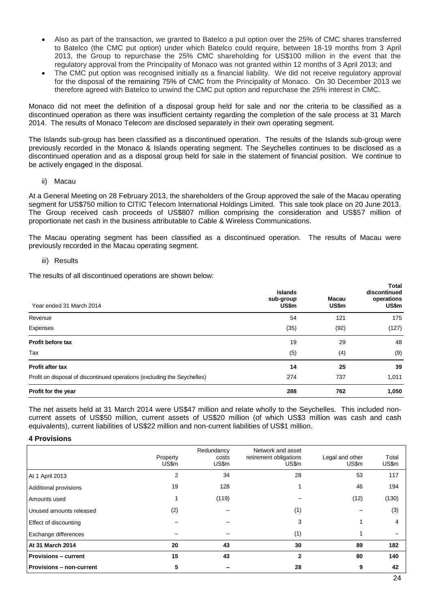- Also as part of the transaction, we granted to Batelco a put option over the 25% of CMC shares transferred to Batelco (the CMC put option) under which Batelco could require, between 18-19 months from 3 April 2013, the Group to repurchase the 25% CMC shareholding for US\$100 million in the event that the regulatory approval from the Principality of Monaco was not granted within 12 months of 3 April 2013; and
- The CMC put option was recognised initially as a financial liability. We did not receive regulatory approval for the disposal of the remaining 75% of CMC from the Principality of Monaco. On 30 December 2013 we therefore agreed with Batelco to unwind the CMC put option and repurchase the 25% interest in CMC.

Monaco did not meet the definition of a disposal group held for sale and nor the criteria to be classified as a discontinued operation as there was insufficient certainty regarding the completion of the sale process at 31 March 2014. The results of Monaco Telecom are disclosed separately in their own operating segment.

The Islands sub-group has been classified as a discontinued operation. The results of the Islands sub-group were previously recorded in the Monaco & Islands operating segment. The Seychelles continues to be disclosed as a discontinued operation and as a disposal group held for sale in the statement of financial position. We continue to be actively engaged in the disposal.

#### ii) Macau

At a General Meeting on 28 February 2013, the shareholders of the Group approved the sale of the Macau operating segment for US\$750 million to CITIC Telecom International Holdings Limited. This sale took place on 20 June 2013. The Group received cash proceeds of US\$807 million comprising the consideration and US\$57 million of proportionate net cash in the business attributable to Cable & Wireless Communications.

The Macau operating segment has been classified as a discontinued operation. The results of Macau were previously recorded in the Macau operating segment.

#### iii) Results

The results of all discontinued operations are shown below:

| Year ended 31 March 2014                                                 | <b>Islands</b><br>sub-group<br>US\$m | Macau<br>US\$m | Total<br>discontinued<br>operations<br>US\$m |
|--------------------------------------------------------------------------|--------------------------------------|----------------|----------------------------------------------|
| Revenue                                                                  | 54                                   | 121            | 175                                          |
| Expenses                                                                 | (35)                                 | (92)           | (127)                                        |
| Profit before tax                                                        | 19                                   | 29             | 48                                           |
| Tax                                                                      | (5)                                  | (4)            | (9)                                          |
| <b>Profit after tax</b>                                                  | 14                                   | 25             | 39                                           |
| Profit on disposal of discontinued operations (excluding the Seychelles) | 274                                  | 737            | 1,011                                        |
| Profit for the year                                                      | 288                                  | 762            | 1,050                                        |

The net assets held at 31 March 2014 were US\$47 million and relate wholly to the Seychelles. This included noncurrent assets of US\$50 million, current assets of US\$20 million (of which US\$3 million was cash and cash equivalents), current liabilities of US\$22 million and non-current liabilities of US\$1 million.

#### **4 Provisions**

|                                 | Property<br>US\$m | Redundancy<br>costs<br>US\$m | Network and asset<br>retirement obligations<br>US\$m | Legal and other<br>US\$m | Total<br>US\$m |
|---------------------------------|-------------------|------------------------------|------------------------------------------------------|--------------------------|----------------|
| At 1 April 2013                 | 2                 | 34                           | 28                                                   | 53                       | 117            |
| Additional provisions           | 19                | 128                          |                                                      | 46                       | 194            |
| Amounts used                    |                   | (119)                        |                                                      | (12)                     | (130)          |
| Unused amounts released         | (2)               |                              | (1)                                                  |                          | (3)            |
| Effect of discounting           |                   |                              | 3                                                    |                          | 4              |
| Exchange differences            |                   |                              | (1)                                                  |                          |                |
| At 31 March 2014                | 20                | 43                           | 30                                                   | 89                       | 182            |
| <b>Provisions - current</b>     | 15                | 43                           | $\mathbf{2}$                                         | 80                       | 140            |
| <b>Provisions - non-current</b> | 5                 |                              | 28                                                   | 9                        | 42             |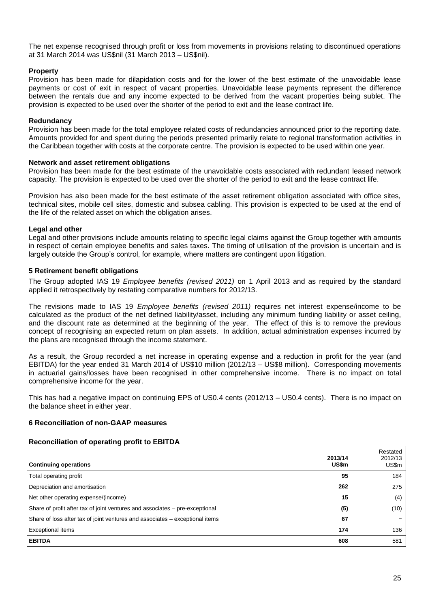The net expense recognised through profit or loss from movements in provisions relating to discontinued operations at 31 March 2014 was US\$nil (31 March 2013 – US\$nil).

#### **Property**

Provision has been made for dilapidation costs and for the lower of the best estimate of the unavoidable lease payments or cost of exit in respect of vacant properties. Unavoidable lease payments represent the difference between the rentals due and any income expected to be derived from the vacant properties being sublet. The provision is expected to be used over the shorter of the period to exit and the lease contract life.

#### **Redundancy**

Provision has been made for the total employee related costs of redundancies announced prior to the reporting date. Amounts provided for and spent during the periods presented primarily relate to regional transformation activities in the Caribbean together with costs at the corporate centre. The provision is expected to be used within one year.

#### **Network and asset retirement obligations**

Provision has been made for the best estimate of the unavoidable costs associated with redundant leased network capacity. The provision is expected to be used over the shorter of the period to exit and the lease contract life.

Provision has also been made for the best estimate of the asset retirement obligation associated with office sites, technical sites, mobile cell sites, domestic and subsea cabling. This provision is expected to be used at the end of the life of the related asset on which the obligation arises.

#### **Legal and other**

Legal and other provisions include amounts relating to specific legal claims against the Group together with amounts in respect of certain employee benefits and sales taxes. The timing of utilisation of the provision is uncertain and is largely outside the Group's control, for example, where matters are contingent upon litigation.

#### **5 Retirement benefit obligations**

The Group adopted IAS 19 *Employee benefits (revised 2011)* on 1 April 2013 and as required by the standard applied it retrospectively by restating comparative numbers for 2012/13.

The revisions made to IAS 19 *Employee benefits (revised 2011)* requires net interest expense/income to be calculated as the product of the net defined liability/asset, including any minimum funding liability or asset ceiling, and the discount rate as determined at the beginning of the year. The effect of this is to remove the previous concept of recognising an expected return on plan assets. In addition, actual administration expenses incurred by the plans are recognised through the income statement.

As a result, the Group recorded a net increase in operating expense and a reduction in profit for the year (and EBITDA) for the year ended 31 March 2014 of US\$10 million (2012/13 – US\$8 million). Corresponding movements in actuarial gains/losses have been recognised in other comprehensive income. There is no impact on total comprehensive income for the year.

This has had a negative impact on continuing EPS of US0.4 cents (2012/13 – US0.4 cents). There is no impact on the balance sheet in either year.

#### **6 Reconciliation of non-GAAP measures**

#### **Reconciliation of operating profit to EBITDA**

| <b>Continuing operations</b>                                                 | 2013/14<br>US\$m | Restated<br>2012/13<br>US\$m |
|------------------------------------------------------------------------------|------------------|------------------------------|
| Total operating profit                                                       | 95               | 184                          |
| Depreciation and amortisation                                                | 262              | 275                          |
| Net other operating expense/(income)                                         | 15               | (4)                          |
| Share of profit after tax of joint ventures and associates – pre-exceptional | (5)              | (10)                         |
| Share of loss after tax of joint ventures and associates – exceptional items | 67               |                              |
| <b>Exceptional items</b>                                                     | 174              | 136                          |
| <b>EBITDA</b>                                                                | 608              | 581                          |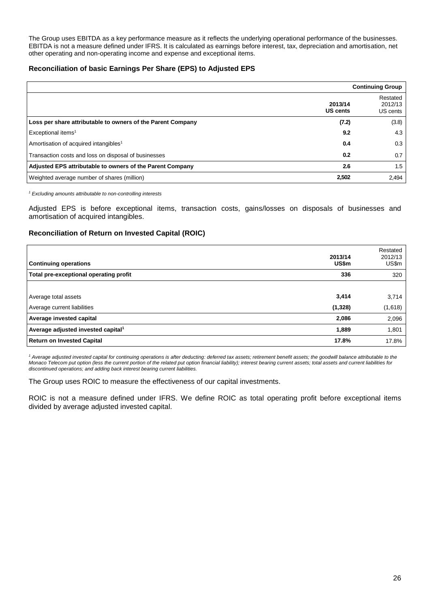The Group uses EBITDA as a key performance measure as it reflects the underlying operational performance of the businesses. EBITDA is not a measure defined under IFRS. It is calculated as earnings before interest, tax, depreciation and amortisation, net other operating and non-operating income and expense and exceptional items.

#### **Reconciliation of basic Earnings Per Share (EPS) to Adjusted EPS**

|                                                             |                            | <b>Continuing Group</b>         |
|-------------------------------------------------------------|----------------------------|---------------------------------|
|                                                             | 2013/14<br><b>US cents</b> | Restated<br>2012/13<br>US cents |
| Loss per share attributable to owners of the Parent Company | (7.2)                      | (3.8)                           |
| Exceptional items <sup>1</sup>                              | 9.2                        | 4.3                             |
| Amortisation of acquired intangibles <sup>1</sup>           | 0.4                        | 0.3                             |
| Transaction costs and loss on disposal of businesses        | 0.2                        | 0.7                             |
| Adjusted EPS attributable to owners of the Parent Company   | 2.6                        | 1.5                             |
| Weighted average number of shares (million)                 | 2,502                      | 2,494                           |

*<sup>1</sup> Excluding amounts attributable to non-controlling interests*

Adjusted EPS is before exceptional items, transaction costs, gains/losses on disposals of businesses and amortisation of acquired intangibles.

#### **Reconciliation of Return on Invested Capital (ROIC)**

| <b>Continuing operations</b>                   | 2013/14<br>US\$m | Restated<br>2012/13<br>US\$m |
|------------------------------------------------|------------------|------------------------------|
| Total pre-exceptional operating profit         | 336              | 320                          |
|                                                |                  |                              |
| Average total assets                           | 3,414            | 3,714                        |
| Average current liabilities                    | (1,328)          | (1,618)                      |
| Average invested capital                       | 2,086            | 2,096                        |
| Average adjusted invested capital <sup>1</sup> | 1,889            | 1,801                        |
| <b>Return on Invested Capital</b>              | 17.8%            | 17.8%                        |

<sup>1</sup> Average adjusted invested capital for continuing operations is after deducting: deferred tax assets; retirement benefit assets; the goodwill balance attributable to the *Monaco Telecom put option (less the current portion of the related put option financial liability); interest bearing current assets; total assets and current liabilities for discontinued operations; and adding back interest bearing current liabilities.*

The Group uses ROIC to measure the effectiveness of our capital investments.

ROIC is not a measure defined under IFRS. We define ROIC as total operating profit before exceptional items divided by average adjusted invested capital.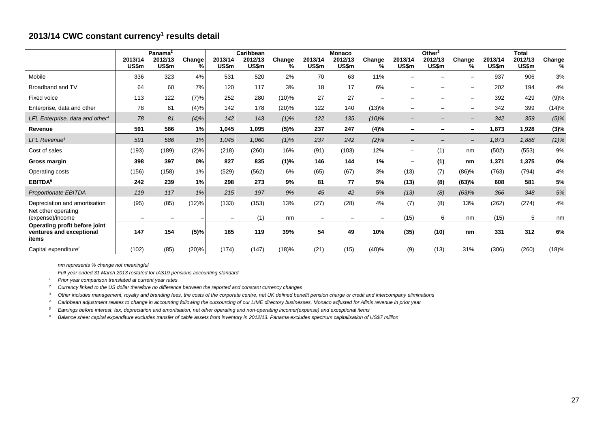## **2013/14 CWC constant currency<sup>1</sup> results detail**

|                                                                    | 2013/14                  | Panama <sup>2</sup><br>2012/13 | Change                   | 2013/14                  | Caribbean<br>2012/13 | Change  | 2013/14 | <b>Monaco</b><br>2012/13 | Change   | 2013/14                  | Other <sup>3</sup><br>2012/13 | Change                   | 2013/14 | <b>Total</b><br>2012/13 | Change  |
|--------------------------------------------------------------------|--------------------------|--------------------------------|--------------------------|--------------------------|----------------------|---------|---------|--------------------------|----------|--------------------------|-------------------------------|--------------------------|---------|-------------------------|---------|
|                                                                    | US\$m                    | US\$m                          | %                        | US\$m                    | US\$m                | %       | US\$m   | US\$m                    | %        | US\$m                    | US\$m                         | %                        | US\$m   | US\$m                   | %       |
| Mobile                                                             | 336                      | 323                            | 4%                       | 531                      | 520                  | 2%      | 70      | 63                       | 11%      |                          |                               |                          | 937     | 906                     | 3%      |
| Broadband and TV                                                   | 64                       | 60                             | 7%                       | 120                      | 117                  | 3%      | 18      | 17                       | 6%       |                          |                               |                          | 202     | 194                     | 4%      |
| <b>Fixed voice</b>                                                 | 113                      | 122                            | (7)%                     | 252                      | 280                  | (10)%   | 27      | 27                       |          |                          |                               |                          | 392     | 429                     | (9)%    |
| Enterprise, data and other                                         | 78                       | 81                             | $(4)\%$                  | 142                      | 178                  | (20)%   | 122     | 140                      | (13)%    |                          |                               |                          | 342     | 399                     | (14)%   |
| LFL Enterprise, data and other <sup>4</sup>                        | 78                       | 81                             | (4)%                     | 142                      | 143                  | $(1)\%$ | 122     | 135                      | $(10)\%$ | $\qquad \qquad -$        | $\qquad \qquad$               |                          | 342     | 359                     | $(5)\%$ |
| Revenue                                                            | 591                      | 586                            | 1%                       | 1,045                    | 1,095                | (5)%    | 237     | 247                      | (4)%     | $\overline{\phantom{0}}$ | -                             |                          | 1,873   | 1,928                   | (3)%    |
| LFL Revenue <sup>4</sup>                                           | 591                      | 586                            | 1%                       | 1,045                    | 1,060                | $(1)\%$ | 237     | 242                      | $(2)\%$  | $\qquad \qquad -$        | $\overline{\phantom{0}}$      | $\overline{\phantom{a}}$ | 1,873   | 1,888                   | $(1)\%$ |
| Cost of sales                                                      | (193)                    | (189)                          | (2)%                     | (218)                    | (260)                | 16%     | (91)    | (103)                    | 12%      | $\overline{\phantom{0}}$ | (1)                           | nm                       | (502)   | (553)                   | 9%      |
| Gross margin                                                       | 398                      | 397                            | 0%                       | 827                      | 835                  | (1)%    | 146     | 144                      | 1%       | $\overline{\phantom{0}}$ | (1)                           | nm                       | 1,371   | 1,375                   | 0%      |
| Operating costs                                                    | (156)                    | (158)                          | 1%                       | (529)                    | (562)                | 6%      | (65)    | (67)                     | 3%       | (13)                     | (7)                           | (86)%                    | (763)   | (794)                   | 4%      |
| EBITDA <sup>5</sup>                                                | 242                      | 239                            | 1%                       | 298                      | 273                  | 9%      | 81      | 77                       | 5%       | (13)                     | (8)                           | (63)%                    | 608     | 581                     | 5%      |
| Proportionate EBITDA                                               | 119                      | 117                            | 1%                       | 215                      | 197                  | 9%      | 45      | 42                       | 5%       | (13)                     | (8)                           | (63)%                    | 366     | 348                     | 5%      |
| Depreciation and amortisation<br>Net other operating               | (95)                     | (85)                           | (12)%                    | (133)                    | (153)                | 13%     | (27)    | (28)                     | 4%       | (7)                      | (8)                           | 13%                      | (262)   | (274)                   | 4%      |
| (expense)/income                                                   | $\overline{\phantom{0}}$ | $\overline{\phantom{m}}$       | $\overline{\phantom{0}}$ | $\overline{\phantom{m}}$ | (1)                  | nm      |         | $\qquad \qquad$          |          | (15)                     | 6                             | nm                       | (15)    | 5                       | nm      |
| Operating profit before joint<br>ventures and exceptional<br>items | 147                      | 154                            | (5)%                     | 165                      | 119                  | 39%     | 54      | 49                       | 10%      | (35)                     | (10)                          | nm                       | 331     | 312                     | 6%      |
| Capital expenditure <sup>6</sup>                                   | (102)                    | (85)                           | (20)%                    | (174)                    | (147)                | (18)%   | (21)    | (15)                     | (40)%    | (9)                      | (13)                          | 31%                      | (306)   | (260)                   | (18)%   |

*nm represents % change not meaningful*

*Full year ended 31 March 2013 restated for IAS19 pensions accounting standard*

*<sup>1</sup> Prior year comparison translated at current year rates*

*<sup>2</sup> Currency linked to the US dollar therefore no difference between the reported and constant currency changes*

*<sup>3</sup> Other includes management, royalty and branding fees, the costs of the corporate centre, net UK defined benefit pension charge or credit and intercompany eliminations*

*<sup>4</sup> Caribbean adjustment relates to change in accounting following the outsourcing of our LIME directory businesses, Monaco adjusted for Afinis revenue in prior year*

*<sup>5</sup> Earnings before interest, tax, depreciation and amortisation, net other operating and non-operating income/(expense) and exceptional items*

*<sup>6</sup> Balance sheet capital expenditure excludes transfer of cable assets from inventory in 2012/13. Panama excludes spectrum capitalisation of US\$7 million*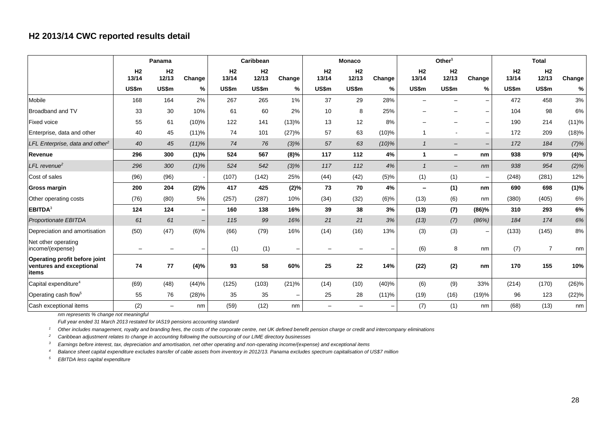## **H2 2013/14 CWC reported results detail**

|                                                                    | Panama                  |                          | Caribbean                |                         |                         | <b>Monaco</b>            |                         |                          | Other <sup>1</sup> |                          |                          | <b>Total</b>             |                         |                |          |
|--------------------------------------------------------------------|-------------------------|--------------------------|--------------------------|-------------------------|-------------------------|--------------------------|-------------------------|--------------------------|--------------------|--------------------------|--------------------------|--------------------------|-------------------------|----------------|----------|
|                                                                    | H <sub>2</sub><br>13/14 | H <sub>2</sub><br>12/13  | Change                   | H <sub>2</sub><br>13/14 | H <sub>2</sub><br>12/13 | Change                   | H <sub>2</sub><br>13/14 | H <sub>2</sub><br>12/13  | Change             | H <sub>2</sub><br>13/14  | H <sub>2</sub><br>12/13  | Change                   | H <sub>2</sub><br>13/14 | H2<br>12/13    | Change   |
|                                                                    | <b>US\$m</b>            | US\$m                    | %                        | <b>US\$m</b>            | US\$m                   | ℅                        | US\$m                   | US\$m                    | %                  | US\$m                    | US\$m                    | ℅                        | <b>US\$m</b>            | US\$m          | %        |
| Mobile                                                             | 168                     | 164                      | 2%                       | 267                     | 265                     | 1%                       | 37                      | 29                       | 28%                |                          |                          | $\overline{\phantom{m}}$ | 472                     | 458            | 3%       |
| Broadband and TV                                                   | 33                      | 30                       | 10%                      | 61                      | 60                      | 2%                       | 10                      | 8                        | 25%                |                          |                          | $\overline{\phantom{m}}$ | 104                     | 98             | 6%       |
| <b>Fixed voice</b>                                                 | 55                      | 61                       | (10)%                    | 122                     | 141                     | (13)%                    | 13                      | 12                       | 8%                 |                          |                          | —                        | 190                     | 214            | (11)%    |
| Enterprise, data and other                                         | 40                      | 45                       | (11)%                    | 74                      | 101                     | (27)%                    | 57                      | 63                       | (10)%              |                          |                          | $\overline{\phantom{m}}$ | 172                     | 209            | (18)%    |
| LFL Enterprise, data and other <sup>2</sup>                        | 40                      | 45                       | (11)%                    | 74                      | 76                      | $(3)\%$                  | 57                      | 63                       | $(10)\%$           | $\overline{1}$           | $\overline{\phantom{0}}$ | $\overline{\phantom{m}}$ | 172                     | 184            | (7)%     |
| Revenue                                                            | 296                     | 300                      | (1)%                     | 524                     | 567                     | $(8)\%$                  | 117                     | 112                      | 4%                 | $\mathbf{1}$             | -                        | nm                       | 938                     | 979            | (4)%     |
| $LFL$ revenue <sup>2</sup>                                         | 296                     | 300                      | $(1)\%$                  | 524                     | 542                     | $(3)\%$                  | 117                     | 112                      | 4%                 | $\overline{1}$           | $\qquad \qquad -$        | nm                       | 938                     | 954            | $(2)$ %  |
| Cost of sales                                                      | (96)                    | (96)                     |                          | (107)                   | (142)                   | 25%                      | (44)                    | (42)                     | (5)%               | (1)                      | (1)                      | $\overline{\phantom{m}}$ | (248)                   | (281)          | 12%      |
| Gross margin                                                       | 200                     | 204                      | (2)%                     | 417                     | 425                     | (2)%                     | 73                      | 70                       | 4%                 | $\overline{\phantom{0}}$ | (1)                      | nm                       | 690                     | 698            | (1)%     |
| Other operating costs                                              | (76)                    | (80)                     | 5%                       | (257)                   | (287)                   | 10%                      | (34)                    | (32)                     | (6)%               | (13)                     | (6)                      | nm                       | (380)                   | (405)          | 6%       |
| EBITDA <sup>3</sup>                                                | 124                     | 124                      | $\overline{\phantom{0}}$ | 160                     | 138                     | 16%                      | 39                      | 38                       | 3%                 | (13)                     | (7)                      | (86)%                    | 310                     | 293            | 6%       |
| Proportionate EBITDA                                               | 61                      | 61                       | $\overline{\phantom{a}}$ | 115                     | 99                      | 16%                      | 21                      | 21                       | 3%                 | (13)                     | (7)                      | (86%)                    | 184                     | 174            | 6%       |
| Depreciation and amortisation                                      | (50)                    | (47)                     | (6)%                     | (66)                    | (79)                    | 16%                      | (14)                    | (16)                     | 13%                | (3)                      | (3)                      | —                        | (133)                   | (145)          | 8%       |
| Net other operating<br>income/(expense)                            |                         |                          |                          | (1)                     | (1)                     | $\overline{\phantom{m}}$ |                         |                          |                    | (6)                      | 8                        | nm                       | (7)                     | $\overline{7}$ | nm       |
| Operating profit before joint<br>ventures and exceptional<br>items | 74                      | 77                       | (4)%                     | 93                      | 58                      | 60%                      | 25                      | 22                       | 14%                | (22)                     | (2)                      | nm                       | 170                     | 155            | 10%      |
| Capital expenditure <sup>4</sup>                                   | (69)                    | (48)                     | (44)%                    | (125)                   | (103)                   | (21)%                    | (14)                    | (10)                     | (40)%              | (6)                      | (9)                      | 33%                      | (214)                   | (170)          | $(26)\%$ |
| Operating cash flow <sup>5</sup>                                   | 55                      | 76                       | (28)%                    | 35                      | 35                      | $\overline{\phantom{m}}$ | 25                      | 28                       | (11)%              | (19)                     | (16)                     | (19)%                    | 96                      | 123            | (22)%    |
| Cash exceptional items                                             | (2)                     | $\overline{\phantom{0}}$ | nm                       | (59)                    | (12)                    | nm                       | $\qquad \qquad -$       | $\overline{\phantom{m}}$ | $\qquad \qquad -$  | (7)                      | (1)                      | nm                       | (68)                    | (13)           | nm       |

*nm represents % change not meaningful*

*Full year ended 31 March 2013 restated for IAS19 pensions accounting standard*

*<sup>1</sup> Other includes management, royalty and branding fees, the costs of the corporate centre, net UK defined benefit pension charge or credit and intercompany eliminations*

*<sup>2</sup> Caribbean adjustment relates to change in accounting following the outsourcing of our LIME directory businesses*

*<sup>3</sup> Earnings before interest, tax, depreciation and amortisation, net other operating and non-operating income/(expense) and exceptional items*

*<sup>4</sup> Balance sheet capital expenditure excludes transfer of cable assets from inventory in 2012/13. Panama excludes spectrum capitalisation of US\$7 million*

*<sup>5</sup> EBITDA less capital expenditure*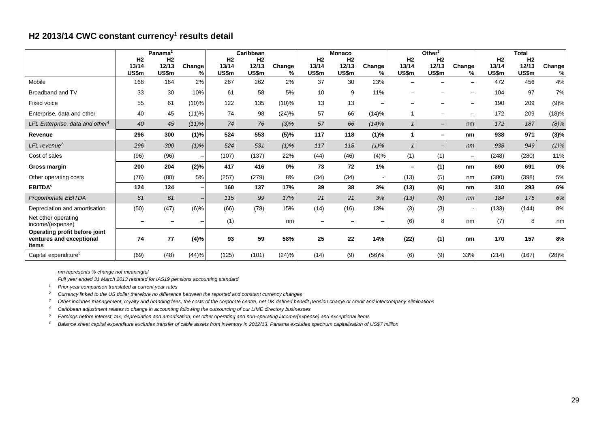## **H2 2013/14 CWC constant currency<sup>1</sup> results detail**

|                                                                    |                                  | Panama <sup>2</sup>                     |                          |                                  | Caribbean                        |             |                                  | <b>Monaco</b>                    |             |                          | Other <sup>3</sup>               |             |                                  | <b>Total</b>         |             |
|--------------------------------------------------------------------|----------------------------------|-----------------------------------------|--------------------------|----------------------------------|----------------------------------|-------------|----------------------------------|----------------------------------|-------------|--------------------------|----------------------------------|-------------|----------------------------------|----------------------|-------------|
|                                                                    | H <sub>2</sub><br>13/14<br>US\$m | H <sub>2</sub><br>12/13<br><b>US\$m</b> | Change<br>%.             | H <sub>2</sub><br>13/14<br>US\$m | H <sub>2</sub><br>12/13<br>US\$m | Change<br>% | H <sub>2</sub><br>13/14<br>US\$m | H <sub>2</sub><br>12/13<br>US\$m | Change<br>% | H2<br>13/14<br>US\$m     | H <sub>2</sub><br>12/13<br>US\$m | Change<br>% | H <sub>2</sub><br>13/14<br>US\$m | H2<br>12/13<br>US\$m | Change<br>% |
| Mobile                                                             | 168                              | 164                                     | 2%                       | 267                              | 262                              | 2%          | 37                               | 30                               | 23%         |                          |                                  |             | 472                              | 456                  | 4%          |
| Broadband and TV                                                   | 33                               | 30                                      | 10%                      | 61                               | 58                               | 5%          | 10                               | 9                                | 11%         |                          |                                  |             | 104                              | 97                   | 7%          |
| Fixed voice                                                        | 55                               | 61                                      | $(10)\%$                 | 122                              | 135                              | $(10)\%$    | 13                               | 13                               |             |                          |                                  |             | 190                              | 209                  | (9)%        |
| Enterprise, data and other                                         | 40                               | 45                                      | (11)%                    | 74                               | 98                               | (24)%       | 57                               | 66                               | (14)%       |                          | $\overline{\phantom{a}}$         |             | 172                              | 209                  | (18)%       |
| LFL Enterprise, data and other <sup>4</sup>                        | 40                               | 45                                      | $(11)\%$                 | 74                               | 76                               | $(3)\%$     | 57                               | 66                               | (14)%       | $\mathbf 1$              | $\overline{\phantom{m}}$         | nm          | 172                              | 187                  | (8)%        |
| Revenue                                                            | 296                              | 300                                     | (1)%                     | 524                              | 553                              | (5)%        | 117                              | 118                              | (1)%        | 1                        | $\overline{\phantom{0}}$         | nm          | 938                              | 971                  | (3)%        |
| $LFL$ revenue <sup>2</sup>                                         | 296                              | 300                                     | $(1)\%$                  | 524                              | 531                              | $(1)\%$     | 117                              | 118                              | $(1)\%$     | $\mathbf{1}$             | $\overline{\phantom{m}}$         | nm          | 938                              | 949                  | $(1)\%$     |
| Cost of sales                                                      | (96)                             | (96)                                    | $\overline{\phantom{a}}$ | (107)                            | (137)                            | 22%         | (44)                             | (46)                             | (4)%        | (1)                      | (1)                              |             | (248)                            | (280)                | 11%         |
| Gross margin                                                       | 200                              | 204                                     | (2)%                     | 417                              | 416                              | 0%          | 73                               | 72                               | 1%          | $\overline{\phantom{0}}$ | (1)                              | nm          | 690                              | 691                  | 0%          |
| Other operating costs                                              | (76)                             | (80)                                    | 5%                       | (257)                            | (279)                            | 8%          | (34)                             | (34)                             |             | (13)                     | (5)                              | nm          | (380)                            | (398)                | 5%          |
| EBITDA <sup>5</sup>                                                | 124                              | 124                                     | -                        | 160                              | 137                              | 17%         | 39                               | 38                               | 3%          | (13)                     | (6)                              | nm          | 310                              | 293                  | 6%          |
| Proportionate EBITDA                                               | 61                               | 61                                      | $\overline{\phantom{0}}$ | 115                              | 99                               | 17%         | 21                               | 21                               | 3%          | (13)                     | (6)                              | nm          | 184                              | 175                  | 6%          |
| Depreciation and amortisation                                      | (50)                             | (47)                                    | $(6)$ %                  | (66)                             | (78)                             | 15%         | (14)                             | (16)                             | 13%         | (3)                      | (3)                              |             | (133)                            | (144)                | 8%          |
| Net other operating<br>income/(expense)                            |                                  |                                         |                          | (1)                              |                                  | nm          |                                  |                                  |             | (6)                      | 8                                | nm          | (7)                              | 8                    | nm          |
| Operating profit before joint<br>ventures and exceptional<br>items | 74                               | 77                                      | (4)%                     | 93                               | 59                               | 58%         | 25                               | 22                               | 14%         | (22)                     | (1)                              | nm          | 170                              | 157                  | 8%          |
| Capital expenditure <sup>6</sup>                                   | (69)                             | (48)                                    | (44)%                    | (125)                            | (101)                            | (24)%       | (14)                             | (9)                              | (56)%       | (6)                      | (9)                              | 33%         | (214)                            | (167)                | (28)%       |

*nm represents % change not meaningful*

*Full year ended 31 March 2013 restated for IAS19 pensions accounting standard*

*<sup>1</sup> Prior year comparison translated at current year rates*

*<sup>2</sup> Currency linked to the US dollar therefore no difference between the reported and constant currency changes*

*<sup>3</sup> Other includes management, royalty and branding fees, the costs of the corporate centre, net UK defined benefit pension charge or credit and intercompany eliminations*

*<sup>4</sup> Caribbean adjustment relates to change in accounting following the outsourcing of our LIME directory businesses*

*<sup>5</sup> Earnings before interest, tax, depreciation and amortisation, net other operating and non-operating income/(expense) and exceptional items*

*<sup>6</sup> Balance sheet capital expenditure excludes transfer of cable assets from inventory in 2012/13. Panama excludes spectrum capitalisation of US\$7 million*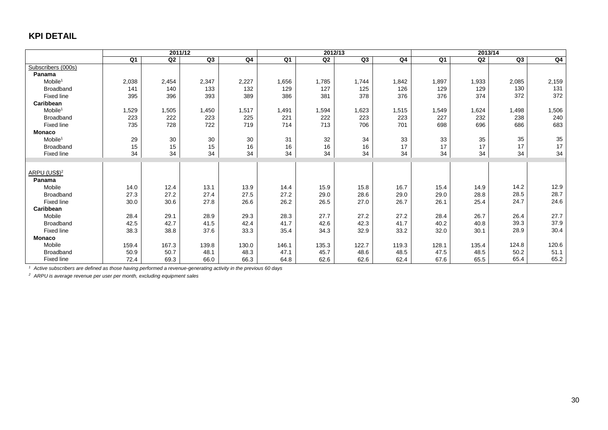## **KPI DETAIL**

|                                       | 2011/12 |       |       |       |       | 2012/13 |       | 2013/14      |                |       |       |       |
|---------------------------------------|---------|-------|-------|-------|-------|---------|-------|--------------|----------------|-------|-------|-------|
|                                       | Q1      | Q2    | Q3    | Q4    | Q1    | Q2      | Q3    | Q4           | Q <sub>1</sub> | Q2    | Q3    | Q4    |
| Subscribers (000s)                    |         |       |       |       |       |         |       |              |                |       |       |       |
| Panama                                |         |       |       |       |       |         |       |              |                |       |       |       |
| Mobile <sup>1</sup>                   | 2,038   | 2,454 | 2,347 | 2,227 | 1,656 | 1,785   | 1,744 | 1,842        | 1,897          | 1,933 | 2,085 | 2,159 |
| <b>Broadband</b>                      | 141     | 140   | 133   | 132   | 129   | 127     | 125   | 126          | 129            | 129   | 130   | 131   |
| <b>Fixed line</b>                     | 395     | 396   | 393   | 389   | 386   | 381     | 378   | 376          | 376            | 374   | 372   | 372   |
| Caribbean                             |         |       |       |       |       |         |       |              |                |       |       |       |
| Mobile <sup>1</sup>                   | 1,529   | 1,505 | 1,450 | 1,517 | 1,491 | 1,594   | 1,623 | 1,515        | 1,549          | 1,624 | 1,498 | 1,506 |
| <b>Broadband</b>                      | 223     | 222   | 223   | 225   | 221   | 222     | 223   | 223          | 227            | 232   | 238   | 240   |
| <b>Fixed line</b>                     | 735     | 728   | 722   | 719   | 714   | 713     | 706   | 701          | 698            | 696   | 686   | 683   |
| <b>Monaco</b>                         |         |       |       |       |       |         |       |              |                |       |       |       |
| Mobile <sup>1</sup>                   | 29      | 30    | 30    | 30    | 31    | 32      | 34    | 33           | 33             | 35    | 35    | 35    |
| <b>Broadband</b>                      | 15      | 15    | 15    | 16    | 16    | 16      | 16    | 17           | 17             | 17    | 17    | 17    |
| Fixed line                            | 34      | 34    | 34    | 34    | 34    | 34      | 34    | 34           | 34             | 34    | 34    | 34    |
|                                       |         |       |       |       |       |         |       |              |                |       |       |       |
|                                       |         |       |       |       |       |         |       |              |                |       |       |       |
| ARPU (US\$) <sup>2</sup>              |         |       |       |       |       |         |       |              |                |       |       |       |
| Panama<br>Mobile                      |         |       |       |       | 14.4  |         |       |              |                | 14.9  | 14.2  | 12.9  |
|                                       | 14.0    | 12.4  | 13.1  | 13.9  |       | 15.9    | 15.8  | 16.7         | 15.4           | 28.8  | 28.5  | 28.7  |
| <b>Broadband</b><br><b>Fixed line</b> | 27.3    | 27.2  | 27.4  | 27.5  | 27.2  | 29.0    | 28.6  | 29.0<br>26.7 | 29.0<br>26.1   |       | 24.7  | 24.6  |
|                                       | 30.0    | 30.6  | 27.8  | 26.6  | 26.2  | 26.5    | 27.0  |              |                | 25.4  |       |       |
| Caribbean                             |         |       |       |       |       |         |       |              |                |       | 26.4  | 27.7  |
| Mobile                                | 28.4    | 29.1  | 28.9  | 29.3  | 28.3  | 27.7    | 27.2  | 27.2         | 28.4           | 26.7  |       |       |
| <b>Broadband</b>                      | 42.5    | 42.7  | 41.5  | 42.4  | 41.7  | 42.6    | 42.3  | 41.7         | 40.2           | 40.8  | 39.3  | 37.9  |
| Fixed line                            | 38.3    | 38.8  | 37.6  | 33.3  | 35.4  | 34.3    | 32.9  | 33.2         | 32.0           | 30.1  | 28.9  | 30.4  |
| Monaco                                |         |       |       |       |       |         |       |              |                |       |       |       |
| Mobile                                | 159.4   | 167.3 | 139.8 | 130.0 | 146.1 | 135.3   | 122.7 | 119.3        | 128.1          | 135.4 | 124.8 | 120.6 |
| Broadband                             | 50.9    | 50.7  | 48.1  | 48.3  | 47.1  | 45.7    | 48.6  | 48.5         | 47.5           | 48.5  | 50.2  | 51.1  |
| Fixed line                            | 72.4    | 69.3  | 66.0  | 66.3  | 64.8  | 62.6    | 62.6  | 62.4         | 67.6           | 65.5  | 65.4  | 65.2  |

*<sup>1</sup> Active subscribers are defined as those having performed a revenue-generating activity in the previous 60 days*

*<sup>2</sup> ARPU is average revenue per user per month, excluding equipment sales*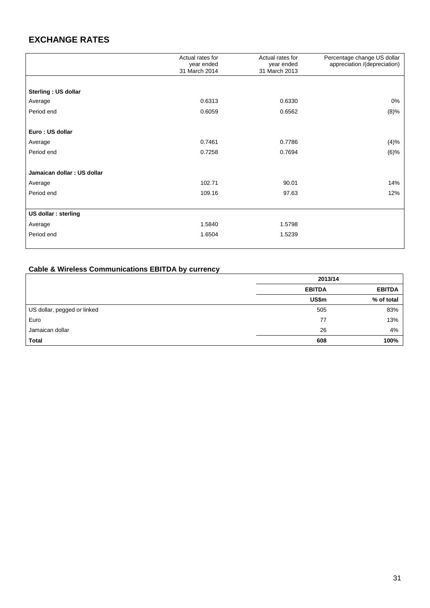# **EXCHANGE RATES**

|                            | Actual rates for<br>year ended<br>31 March 2014 | Actual rates for<br>year ended<br>31 March 2013 | Percentage change US dollar<br>appreciation /(depreciation) |
|----------------------------|-------------------------------------------------|-------------------------------------------------|-------------------------------------------------------------|
|                            |                                                 |                                                 |                                                             |
| Sterling: US dollar        |                                                 |                                                 |                                                             |
| Average                    | 0.6313                                          | 0.6330                                          | 0%                                                          |
| Period end                 | 0.6059                                          | 0.6562                                          | (8)%                                                        |
|                            |                                                 |                                                 |                                                             |
| Euro: US dollar            |                                                 |                                                 |                                                             |
| Average                    | 0.7461                                          | 0.7786                                          | (4)%                                                        |
| Period end                 | 0.7258                                          | 0.7694                                          | (6)%                                                        |
|                            |                                                 |                                                 |                                                             |
| Jamaican dollar: US dollar |                                                 |                                                 |                                                             |
| Average                    | 102.71                                          | 90.01                                           | 14%                                                         |
| Period end                 | 109.16                                          | 97.63                                           | 12%                                                         |
|                            |                                                 |                                                 |                                                             |
| US dollar : sterling       |                                                 |                                                 |                                                             |
| Average                    | 1.5840                                          | 1.5798                                          |                                                             |
| Period end                 | 1.6504                                          | 1.5239                                          |                                                             |
|                            |                                                 |                                                 |                                                             |

## **Cable & Wireless Communications EBITDA by currency**

|                             | 2013/14       |               |  |  |  |
|-----------------------------|---------------|---------------|--|--|--|
|                             | <b>EBITDA</b> | <b>EBITDA</b> |  |  |  |
|                             | US\$m         | % of total    |  |  |  |
| US dollar, pegged or linked | 505           | 83%           |  |  |  |
| Euro                        | 77            | 13%           |  |  |  |
| Jamaican dollar             | 26            | 4%            |  |  |  |
| <b>Total</b>                | 608           | 100%          |  |  |  |